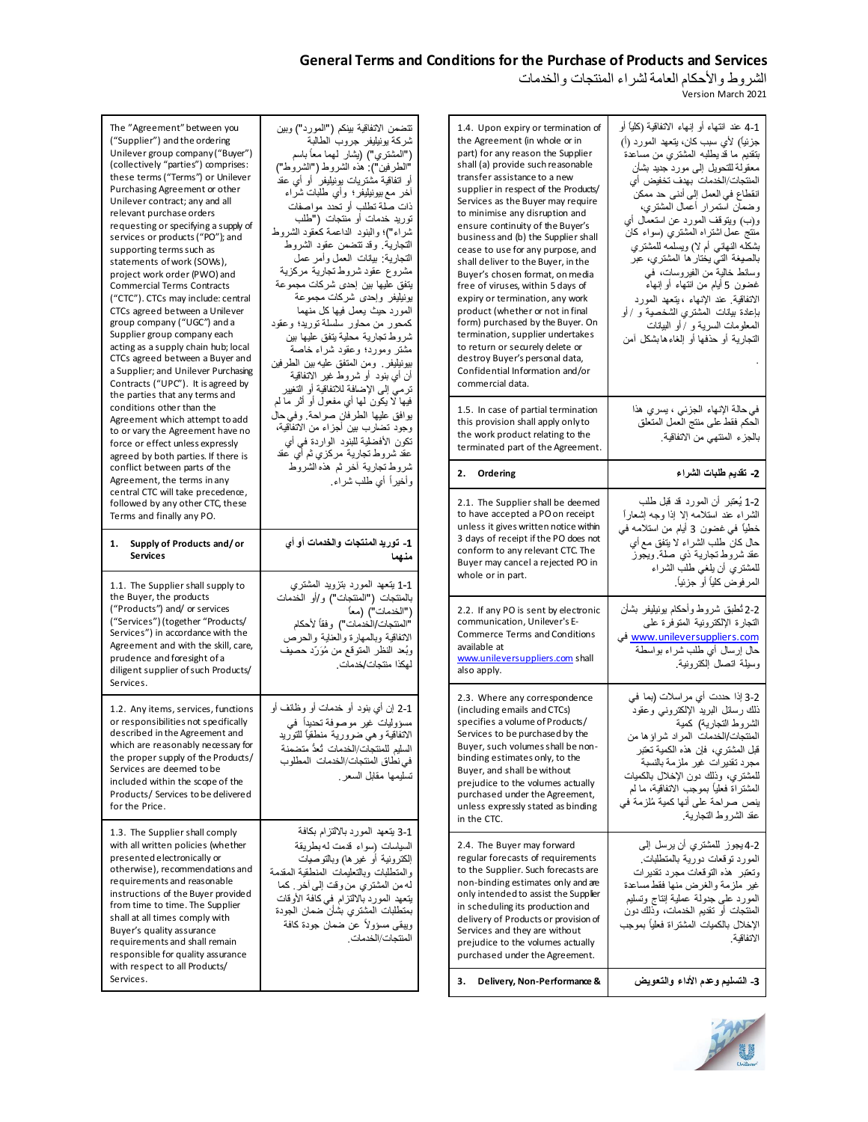## **General Terms and Conditions for the Purchase of Products and Services**

The "Agreement" between you ("Supplier") and the ordering Unilever group company ("Buyer") (collectively "parties") comprises: these terms ("Terms") or Unilever Purchasing Agreement or other Unilever contract; any and all relevant purchase orders requesting or specifying a supply of services or products ("PO"); and supporting terms such as statements of work (SOWs), project work order (PWO) and Commercial Terms Contracts ("CTC"). CTCs may include: central CTCs agreed between a Unilever group company ("UGC") and a Supplier group company each acting as a supply chain hub; local CTCs agreed between a Buyer and a Supplier; and Unilever Purchasing Contracts ("UPC"). It is agreed by the parties that any terms and conditions other than the Agreement which attempt to add to or vary the Agreement have no force or effect unless expressly agreed by both parties. If there is conflict between parts of the Agreement, the terms in any central CTC will take precedence, followed by any other CTC, these Terms and finally any PO.

**1. Supply of Products and/ or** 

1.1. The Supplier shall supply to the Buyer, the products ("Products") and/ or services ("Services") (together "Products/ Services") in accordance with the Agreement and with the skill, care, prudence and foresight of a diligent supplier of such Products/

1.2. Any items, services, functions or responsibilities not specifically described in the Agreement and which are reasonably necessary for the proper supply of the Products/ Services are deemed to be included within the scope of the Products/ Services to be delivered

1.3. The Supplier shall comply with all written policies (whether presented electronically or otherwise), recommendations and requirements and reasonable instructions of the Buyer provided from time to time. The Supplier shall at all times comply with Buyer's quality assurance requirements and shall remain responsible for quality assurance with respect to all Products/

**Services**

Services.

for the Price.

Services.

الشر وط و الأحكام العامة لشر اء المنتجات و الخدمات Version March 2021

| نتضمن الاتفاقية بينكم ("المورد") وبين<br>شركة بونبليفر جروب الطالبة<br>("المشتري") (يشار لمهما معاً باسم<br>"الطرفين"): هَذَه الشروط ("الشروط")<br>أو اتفاقية مشتريات بونيليفر  أو أي عقد<br>أخر مع بيونيليفر؛ وأي طلبات شراء<br>ذات صَّلَّة تطلب أو تـُـدد مواصفات<br>تورید خدمات أو منتجات ("طلب<br>شراء")؛ والبنود الداعمة كعقود الشروط<br>النجارية. وقد نتضمن عقود الشروط<br>التجارية: بيانات العمل وأمر عمل<br>مشروع عقود شروط نجارية مركزية<br>يتفق عليها بين احدى شركات مجموعة<br>بونيليفر وإحدى شركات مجموعة<br>المورد حيث يعمل فيها كل منهما<br>كمحور من محاور سلسلة نوريد؛ وعقود<br>شروط نجارية محلية يتفق عليها بين<br>مشتر ومورد؛ وعقود شراء خاصة<br>بيونيليفر ومن المتفق عليه بين الطرفين<br>أن أي بنود أو شروط غير الاتفاقية<br>ترمى إلى الإضافة للاتفاقية أو التغيير | 1.4. Upon expiry or termination of<br>the Agreement (in whole or in<br>part) for any reason the Supplier<br>shall (a) provide such reasonable<br>transfer assistance to a new<br>supplier in respect of the Products/<br>Services as the Buyer may require<br>to minimise any disruption and<br>ensure continuity of the Buyer's<br>business and (b) the Supplier shall<br>cease to use for any purpose, and<br>shall deliver to the Buyer, in the<br>Buyer's chosen format, on media<br>free of viruses, within 5 days of<br>expiry or termination, any work<br>product (whether or not in final<br>form) purchased by the Buyer. On<br>termination, supplier undertakes<br>to return or securely delete or<br>destroy Buyer's personal data,<br>Confidential Information and/or<br>commercial data. | 4-1 عند انتهاء أو إنهاء الانفاقية (كلياً أو<br>جزئياً) لأي سبب كان، يتعهد المورد (أ)<br>بتقديم ما قديطلبه المشتري من مساعدة<br>معقولة للتحويل إلى مورد جديد بشأن<br>المنتجات/الخدمات بهدف تخفيض أي<br>انقطاع في العمل إلى أنني حد ممكن<br>وضمآن أستمرار أعمال المشتري،<br>و(ب) ويتوقف المورد عن استعمال أي<br>منتج عمل اشتراه المشتري (سواء كان<br>بشكله النهائـي أم لا) ويسلمـه للمشترى<br>بالصيغة التي يختار ها المشتري، عبر<br>وسائط خالية من الفيروسات، في<br>غضون 5 أيام من انتهاء أو إنـهاء<br>الاتفاقية عند الإنهاء ،بيّعهد المورد<br>بإعادة بيلنات المشترى الشخصية و /أو<br>المعلومات السرية و / أو البيانات<br>التجارية أو حذفها أو الغاءهابشكل آمن |
|-------------------------------------------------------------------------------------------------------------------------------------------------------------------------------------------------------------------------------------------------------------------------------------------------------------------------------------------------------------------------------------------------------------------------------------------------------------------------------------------------------------------------------------------------------------------------------------------------------------------------------------------------------------------------------------------------------------------------------------------------------------------------------------|-------------------------------------------------------------------------------------------------------------------------------------------------------------------------------------------------------------------------------------------------------------------------------------------------------------------------------------------------------------------------------------------------------------------------------------------------------------------------------------------------------------------------------------------------------------------------------------------------------------------------------------------------------------------------------------------------------------------------------------------------------------------------------------------------------|--------------------------------------------------------------------------------------------------------------------------------------------------------------------------------------------------------------------------------------------------------------------------------------------------------------------------------------------------------------------------------------------------------------------------------------------------------------------------------------------------------------------------------------------------------------------------------------------------------------------------------------------------------------|
| فيها لا يكون لمها أي مفعول أو أثر ما لم<br>بوافق عليها الطرفان صراحة وفي حال<br>وجود نضارب بين أجزاء من الاتفاقية،<br>تكون الأفضلية للبنود الواردة في أي<br>عقد شروط نجارية مركزي ثم أي عقد                                                                                                                                                                                                                                                                                                                                                                                                                                                                                                                                                                                         | 1.5. In case of partial termination<br>this provision shall apply only to<br>the work product relating to the<br>terminated part of the Agreement.                                                                                                                                                                                                                                                                                                                                                                                                                                                                                                                                                                                                                                                    | في حالة الإنهاء الجزئي ، يسري هذا<br>الحكم فقط على منتج العمل المتعلق<br>بالجزء المنتهي من الاتفاقية.                                                                                                                                                                                                                                                                                                                                                                                                                                                                                                                                                        |
| شروط نجارية أخر ثم هذه الشروط<br>وأخيراً أي طلب شراء.                                                                                                                                                                                                                                                                                                                                                                                                                                                                                                                                                                                                                                                                                                                               | 2.<br>Ordering                                                                                                                                                                                                                                                                                                                                                                                                                                                                                                                                                                                                                                                                                                                                                                                        | 2- تقديم طلبات الشراء                                                                                                                                                                                                                                                                                                                                                                                                                                                                                                                                                                                                                                        |
| 1- توريد المنتجات والخدمات أو أي<br>منهما<br>1-1 يُنعهد المورد بتزويد المشترى                                                                                                                                                                                                                                                                                                                                                                                                                                                                                                                                                                                                                                                                                                       | 2.1. The Supplier shall be deemed<br>to have accepted a PO on receipt<br>unless it gives written notice within<br>3 days of receipt if the PO does not<br>conform to any relevant CTC. The<br>Buyer may cancel a rejected PO in<br>whole or in part.                                                                                                                                                                                                                                                                                                                                                                                                                                                                                                                                                  | 1-2 يُعتبر أن المورد قد قبل طلب<br>الشراء عند استلامه إلا إذا وجه إشعاراً<br>خطياً في غضون 3 أيلم من استلامه في<br>حال كان طلب الشراء لا يتفق مع أي<br>عقد شروط نجارية ذي صلة ويجوز<br>للمشتري أن يلغي طلب الشراء<br>المر فوض كلياً أو جزئياً.                                                                                                                                                                                                                                                                                                                                                                                                               |
| بالمنتجات ("المنتجات") و/أو الخدمات<br>("الخدمات") (معاً<br>"المنتجات/الْخدمات") وفقاً لأحكام<br>الاتفاقية وبالمهارة والعناية والحرص<br>وبُعد النظر المنوقع من مُوَرَد حصيف<br>لهكذا منتجات/خدمات                                                                                                                                                                                                                                                                                                                                                                                                                                                                                                                                                                                   | 2.2. If any PO is sent by electronic<br>communication, Unilever's E-<br><b>Commerce Terms and Conditions</b><br>available at<br>www.unileversuppliers.com shall<br>also apply.                                                                                                                                                                                                                                                                                                                                                                                                                                                                                                                                                                                                                        | 2-2 تُطبق شروط وأحكام بونيليفر بشأن<br>التجارة الإلكترونية المتوفرة على<br><u>www.unileversuppliers.com فی</u><br>حال إرسال أي طلب شراء بواسطة<br>وسيلة انصال الكنرونية                                                                                                                                                                                                                                                                                                                                                                                                                                                                                      |
| 2-1 إن أي بنود أو خدمات أو وظلُف أو<br>مسؤوليات غير موصوفة تحديداً في<br>الاتفاقية وهي ضوورية منطقياً للتوريد<br>السليم للمنتجات/الخدمات ثعدً متضمنة<br>في نطاق المنتجات/الخدمات المطلوب<br>تسليمها مقابل السعر                                                                                                                                                                                                                                                                                                                                                                                                                                                                                                                                                                     | 2.3. Where any correspondence<br>(including emails and CTCs)<br>specifies a volume of Products/<br>Services to be purchased by the<br>Buyer, such volumes shall be non-<br>binding estimates only, to the<br>Buyer, and shall be without<br>prejudice to the volumes actually<br>purchased under the Agreement,<br>unless expressly stated as binding<br>in the CTC.                                                                                                                                                                                                                                                                                                                                                                                                                                  | 3-2 إذا حددت أي مر اسلات (بما في<br>ذلك رسائل البريد الإلكترونـي وعقود<br>الشروط التجارية) كمية<br>المنتجات/الخدمات المراد شراؤها من<br>قبل المشترى، فإن هذه الكمية تعتبر<br>مجرد تقدير ات غير ًملز مة بالنسبة<br>للمشترى، وذلك دون الإخلال بالكميات<br>المشتراة فعليًا بموجب الاتفاقية، ما لم<br>ينص صواحة على أنها كمية مُلزمة في<br>عقد الشروط التجارية                                                                                                                                                                                                                                                                                                   |
| 3-1 يُنعهد المورد بالالتزام بكافة<br>السياسات (سواء قدمت له بطريقة<br>الكترونية أو غير ها) وبالتوصيات<br>والمتطلبات وبالتعليمات المنطقية المقدمة<br>لمه من المشترى من وقت إلى أخر . كما<br>يتعهد المورد بالالتزام في كافة الأوقات<br>بمتطلبات المشتري بشأن ضمان الجودة<br>وبيقى مسؤولأ عن ضمان جودة كافة<br>المنتجات/الخدمات ِ                                                                                                                                                                                                                                                                                                                                                                                                                                                      | 2.4. The Buyer may forward<br>regular forecasts of requirements<br>to the Supplier. Such forecasts are<br>non-binding estimates only and are<br>only intended to assist the Supplier<br>in scheduling its production and<br>delivery of Products or provision of<br>Services and they are without<br>prejudice to the volumes actually<br>purchased under the Agreement.                                                                                                                                                                                                                                                                                                                                                                                                                              | 2-4يجوز للمشتري أن يرسل إلى<br>المورد نوقعات دورية بالمتطلبات<br>وتعتبر هذه التوقعات مجرد تقدير ات<br>غير ملزمة والغرض منها فقط مساعدة<br>المورد علىى جدولة عملية إنتاج وتسليم<br>المنتجات أو تقديم الخدمات، وذلك دون<br>الإخلال بالكميات المشتراة فعلياً بموجب<br>الاتفاقية                                                                                                                                                                                                                                                                                                                                                                                 |
|                                                                                                                                                                                                                                                                                                                                                                                                                                                                                                                                                                                                                                                                                                                                                                                     | 3.<br>Delivery, Non-Performance &                                                                                                                                                                                                                                                                                                                                                                                                                                                                                                                                                                                                                                                                                                                                                                     | 3- التسليم وعدم الأداء والتعويض                                                                                                                                                                                                                                                                                                                                                                                                                                                                                                                                                                                                                              |
|                                                                                                                                                                                                                                                                                                                                                                                                                                                                                                                                                                                                                                                                                                                                                                                     |                                                                                                                                                                                                                                                                                                                                                                                                                                                                                                                                                                                                                                                                                                                                                                                                       |                                                                                                                                                                                                                                                                                                                                                                                                                                                                                                                                                                                                                                                              |

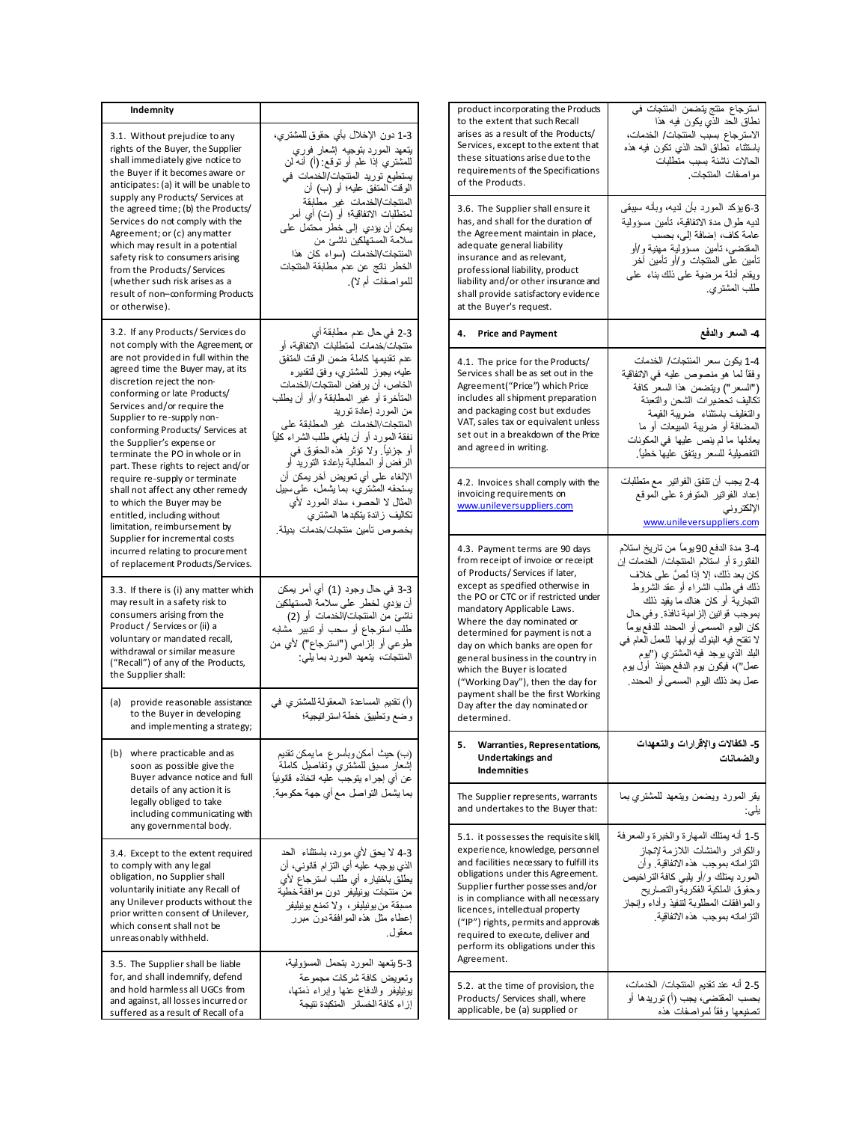| Indemnity                                                                                                                                                                                                                                                                                                                                      |                                                                                                                                                                                                                                                                                                                                         | product incorporating the Products<br>to the extent that such Recall                                                                                                                                                                                                                                                                                                                                      | استرجاع منتج يتضمن المنتجات في                                                                                                                                                                                                                                                                                                                |
|------------------------------------------------------------------------------------------------------------------------------------------------------------------------------------------------------------------------------------------------------------------------------------------------------------------------------------------------|-----------------------------------------------------------------------------------------------------------------------------------------------------------------------------------------------------------------------------------------------------------------------------------------------------------------------------------------|-----------------------------------------------------------------------------------------------------------------------------------------------------------------------------------------------------------------------------------------------------------------------------------------------------------------------------------------------------------------------------------------------------------|-----------------------------------------------------------------------------------------------------------------------------------------------------------------------------------------------------------------------------------------------------------------------------------------------------------------------------------------------|
| 3.1. Without prejudice to any<br>rights of the Buyer, the Supplier<br>shall immediately give notice to<br>the Buyer if it becomes aware or<br>anticipates: (a) it will be unable to<br>supply any Products/ Services at                                                                                                                        | 3-1 دون الإخلال بأي حقوق للمشتري،<br>بتعهد المورد بتوجيه اشعار فورى<br>للمشتري إذا علم أو نوقع: (أ) أنه لن<br>يستطيع توريد المنتجات/الخدمات في<br>الوقت المتفق عليه؛ أو (ب) أن                                                                                                                                                          | arises as a result of the Products/<br>Services, except to the extent that<br>these situations arise due to the<br>requirements of the Specifications<br>of the Products.                                                                                                                                                                                                                                 | نطاق الَّحد الَّذِّي يكون فيه هذا<br>الاسترجاع بسبب المنتجات/ الخدمات،<br>باستثناء نَّطاق الحد الذي نكون فيه هذه<br>الحالات ناشئة بسبب متطلبات<br>مو اصفات المنتجات.                                                                                                                                                                          |
| the agreed time; (b) the Products/<br>Services do not comply with the<br>Agreement; or (c) any matter<br>which may result in a potential<br>safety risk to consumers arising<br>from the Products/Services<br>(whether such risk arises as a<br>result of non-conforming Products<br>or otherwise).                                            | المنتجات/الخدمات غير مطابقة<br>لمتطلبات الاتفاقية؛ أو (ت) أي أمر<br>يمكن أن يؤدي إلى خطر محتمل على<br>سلامة المستهلكين ناشئ من<br>المنتجات/الخدمات (سواء كان هذا<br>الخطر ناتج عن عدم مطابقة المنتجات<br>للمواصفات أم لا).                                                                                                              | 3.6. The Supplier shall ensure it<br>has, and shall for the duration of<br>the Agreement maintain in place,<br>adequate general liability<br>insurance and as relevant,<br>professional liability, product<br>liability and/or other insurance and<br>shall provide satisfactory evidence<br>at the Buyer's request.                                                                                      | 3-6 يؤكد المورد بأن لديه، وبأنه سيبقى<br>لديه طوال مدة الاتفاقية، تأمين مسؤولية<br>عامة كاف، إضافة إلى، بحسب<br>المقتضبي، تأمين ًمسؤولية مهنية و/أو<br>نامين على المنتجات و/أو نامين آخر<br>ويقدم أدلمة مرضية على ذلك بناء علمي<br>طلب المشترى                                                                                                |
| 3.2. If any Products/Services do<br>not comply with the Agreement, or                                                                                                                                                                                                                                                                          | 3-2 في حال عدم مطابقة أي<br>منتجات/خدمات لمتطلبات الاتفاقية، أو                                                                                                                                                                                                                                                                         | 4. Price and Payment                                                                                                                                                                                                                                                                                                                                                                                      | 4- السعر والدفع                                                                                                                                                                                                                                                                                                                               |
| are not provided in full within the<br>agreed time the Buyer may, at its<br>discretion reject the non-<br>conforming or late Products/<br>Services and/or require the<br>Supplier to re-supply non-<br>conforming Products/ Services at<br>the Supplier's expense or<br>terminate the PO in whole or in<br>part. These rights to reject and/or | عدم تقديمها كاملة ضمن الوقت المتفق<br>عليه، يجوز للمشترى، وفق لتقديره<br>الخاص، أن ير فض المنتجات/الخدمات<br>المتأخرة أو غير المطلبقة و/أو أن يطلب<br>من المورد إعادة توريد<br>المنتجات/الخدمات غير المطلقة على<br>نفقة المورد أو أن يلغي طلب الشراء كلياً<br>أو جزئيًا. ولا نؤثر هذّه الحقوق في<br>الرفض أو المطالبة بإعادة التوريد أو | 4.1. The price for the Products/<br>Services shall be as set out in the<br>Agreement("Price") which Price<br>includes all shipment preparation<br>and packaging cost but exdudes<br>VAT, sales tax or equivalent unless<br>set out in a breakdown of the Price<br>and agreed in writing.                                                                                                                  | 4-1 بكون سعر  المنتجات/ الخدمات<br>وفقاً لما هو منصوص عليه في الانفاقية<br>("السعر") ويتضمن هذا السعرّ كافة<br>نكاليف نحضيرات الشحن والتعبنة<br>والتغليف باستثناء ًضوبية القيمة<br>المضافة أو ضوبية المبيعات أو ما<br>يعادلها ما لم ينص عليها في المكونات<br>التفصيلية للسعر ويتفق عليها خطيأ                                                 |
| require re-supply or terminate<br>shall not affect any other remedy<br>to which the Buyer may be<br>entitled, including without<br>limitation, reimbursement by                                                                                                                                                                                | الإلغاء على أي تعويض آخر يمكن أن<br>يستحقه المشتري، بما يشمل، على سبيل<br>العثال لا الحصو ، سداد المورد لأي<br>تكاليف زائدة يتكبدها المشترى<br>بخصوص تأمين منتجات/خدمات بديلة.                                                                                                                                                          | 4.2. Invoices shall comply with the<br>invoicing requirements on<br>www.unileversuppliers.com                                                                                                                                                                                                                                                                                                             | 2-4 يجب أن تتفق الفواتير ٍ مع متطلبات<br>إعداد المفواتير المتوفرة على الموقع<br>الإلكتروني<br>www.unileversuppliers.com                                                                                                                                                                                                                       |
| Supplier for incremental costs<br>incurred relating to procurement<br>of replacement Products/Services.                                                                                                                                                                                                                                        |                                                                                                                                                                                                                                                                                                                                         | 4.3. Payment terms are 90 days<br>from receipt of invoice or receipt<br>of Products/Services if later,                                                                                                                                                                                                                                                                                                    | 3-4 مدة الدفع 90يوماً من تاريخ استلام<br>الفلنورة أو استلام المنتجات/ الخدمات إن<br>كان بعد ذلك، إلا إذا نُصِّ على خلاف                                                                                                                                                                                                                       |
| 3.3. If there is (i) any matter which<br>may result in a safety risk to<br>consumers arising from the<br>Product / Services or (ii) a<br>voluntary or mandated recall,<br>withdrawal or similar measure<br>("Recall") of any of the Products,<br>the Supplier shall:                                                                           | 3-3 في حال وجود (1) أي أمر يمكن<br>أن يؤدي لخطر على سلامة المستهلكين<br>ناشئ من المنتجات/الخدمات أو (2)<br>طلب استرجاع أو سحب أو تنبير ٍ مشابه<br>طوعي أو الزامي ("استرجاع") لأي من<br>المنتجات، يتعهد المورد بما يلي:                                                                                                                  | except as specified otherwise in<br>the PO or CTC or if restricted under<br>mandatory Applicable Laws.<br>Where the day nominated or<br>determined for payment is not a<br>day on which banks are open for<br>general business in the country in<br>which the Buyer is located<br>("Working Day"), then the day for<br>payment shall be the first Working                                                 | ذلك في طلب الشراء أو عقد الشروط<br>التجارية أو كان هناك ما يقد ذلك<br>بموجب قوانين الزامية نافذة. وفي حال<br>كان اليوم المسمى أو المحدد للدفع يوماً<br>لا تَفْتَحَ فِيهِ الْبَنُوكِ أَبُوابِهَا ۚ لِمُعْمَلِ الْعَامِ فِي<br>البلد الذي بوجد فيه المشتري ("بوم<br>عمل")، فيكون بوم الدفع حينئذ أول بوم<br>عمل بعد ذلك اليوم المسمى أو المحدد. |
| provide reasonable assistance<br>(a)<br>to the Buyer in developing<br>and implementing a strategy;                                                                                                                                                                                                                                             | (أ) تقديم المساعدة المعقولة للمشتري في<br>وضع وتطبيق خطة استر اتيجية؛                                                                                                                                                                                                                                                                   | Day after the day nominated or<br>determined.                                                                                                                                                                                                                                                                                                                                                             |                                                                                                                                                                                                                                                                                                                                               |
| (b) where practicable and as<br>soon as possible give the<br>Buyer advance notice and full                                                                                                                                                                                                                                                     | (ب) حيث أمكن وبأسرع مايمكن تقديم<br>إنسعار مسبق للمشتري وتفاصيل كاملة<br>عن أي إجراء يتوجب عليه اتخاذه قانونياً                                                                                                                                                                                                                         | <b>Warranties, Representations,</b><br>5.<br>Undertakings and<br><b>Indemnities</b>                                                                                                                                                                                                                                                                                                                       | 5- الكفالات والإقرارات والتعهدات<br>والضمانات                                                                                                                                                                                                                                                                                                 |
| details of any action it is<br>legally obliged to take<br>including communicating with<br>any governmental body.                                                                                                                                                                                                                               | بما يشمل التواصل مع أي جهة حكومية.                                                                                                                                                                                                                                                                                                      | The Supplier represents, warrants<br>and undertakes to the Buyer that:                                                                                                                                                                                                                                                                                                                                    | يقر المورد ويضمن ويتعهد للمشتري بما<br>يلى:                                                                                                                                                                                                                                                                                                   |
| 3.4. Except to the extent required<br>to comply with any legal<br>obligation, no Supplier shall<br>voluntarily initiate any Recall of<br>any Unilever products without the<br>prior written consent of Unilever,<br>which consent shall not be<br>unreasonably withheld.<br>3.5. The Supplier shall be liable                                  | 4-3 لا يحق لأي مورد، باستثناء  الحد<br>الذي يوجبه عليه أي التزام قانوني، أن<br>يطلق باختيار ه أي طلب استرجاع لأي<br>من منتجات بونيليفر  دون مو افقة خطيّة<br>مسبقة من يونيليفر ، ولا تمنع يونيليفر<br>إعطاء مثل هذه الموافقةدون مبرر<br>معقول.<br>3-5 بنعهد المورد بنحمل المسؤولية،                                                     | 5.1. it possesses the requisite skill,<br>experience, knowledge, personnel<br>and facilities necessary to fulfill its<br>obligations under this Agreement.<br>Supplier further possesses and/or<br>is in compliance with all necessary<br>licences, intellectual property<br>("IP") rights, permits and approvals<br>required to execute, deliver and<br>perform its obligations under this<br>Agreement. | 5-1 أنـه يمثلك المـهار ة و الخبر ة و المـعر فـة<br>والكوادر والمنشأت اللازمة لإنجاز<br>النزامانه بموجب هذه الاتفاقية. وأن<br>المورد يمتلك و/أو يلبي كافة التراخيص<br>وحقوق الملكية الفكرية والتصاريح<br>والموافقات المطلوبة لنتفيذ وأداء وإنجاز<br>الْتَرْ اماتَه بِموجِبِ هذه الاتفاقية.                                                     |
| for, and shall indemnify, defend<br>and hold harmless all UGCs from<br>and against, all losses incurred or<br>suffered as a result of Recall of a                                                                                                                                                                                              | وتعويض كافة شركات مجموعة<br>بونيليفر والدفاع عنها وإبراء ذمتها،<br>إزاء كافة الخسائر المتكبدة نتيجة                                                                                                                                                                                                                                     | 5.2. at the time of provision, the<br>Products/ Services shall, where<br>applicable, be (a) supplied or                                                                                                                                                                                                                                                                                                   | 2-5 أنه عند تقديم المنتجات/ الخدمات،<br>بحسب المقتضى، يجب (أ) توريدها أو<br>تصنيعها وفقأ لمواصفات هذه                                                                                                                                                                                                                                         |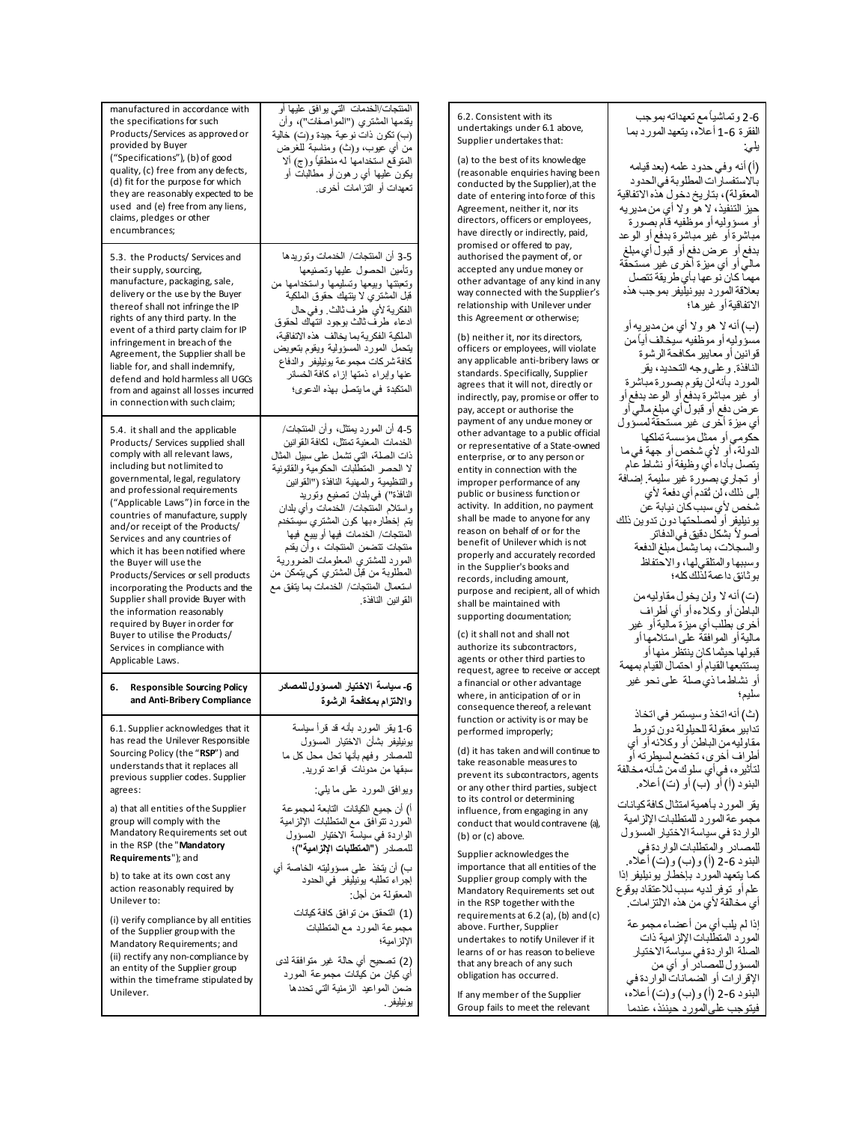| manufactured in accordance with<br>the specifications for such<br>Products/Services as approved or<br>provided by Buyer<br>("Specifications"), (b) of good<br>quality, (c) free from any defects,<br>(d) fit for the purpose for which<br>they are reasonably expected to be<br>used and (e) free from any liens,<br>claims, pledges or other<br>encumbrances;                                                                                                                                                                                                                                                                                                                                 | المنتجات/الخدمات التي يوافق عليها أو<br>يقدمها المشتري ("الموَّاصفات")، وأن<br>(ب) نكون ذات نوعية جيدة و(ت) خالية<br>من أي عيوب، و(ث) ومناسبة للغرض<br>المتوقع استخدامها لـه منطقياً و(ج) ألا<br>بكون عليها أي ر هون أو مطالبات أو<br>تعهدات أو التز امات أخر ي.                                                                                                                                                                                                                                                                             | 6.2. Consistent with its<br>undertakings under 6.1 above,<br>Supplier undertakes that:<br>(a) to the best of its knowledge<br>(reasonable enquiries having been<br>conducted by the Supplier), at the<br>date of entering into force of this<br>Agreement, neither it, nor its<br>directors, officers or employees,<br>have directly or indirectly, paid,<br>promised or offered to pay.                                                                                                                                                                                                                                                                                                                                                      | 6-2 وتماشياً مع تعهداته بموجب<br>الفقرة 6-1 أعلاه، يتعهد المورد بما<br>يلى:<br>(أ) أنه وفيي حدود علمه (بعد قيامه<br>بالاستفسارات المطلوبة في الحدود<br>المعقولة)، بتاريخ دخول هذه الاتفاقية<br>حيز التنفيذ، لا هو ولا أي من مديريه<br>أو مسؤوليه أو موظفيه قام بصورة<br>مباشرة أو غير مباشرة بدفع أو الوعد                                                                                                                                                                                                                                                                                                                  |
|------------------------------------------------------------------------------------------------------------------------------------------------------------------------------------------------------------------------------------------------------------------------------------------------------------------------------------------------------------------------------------------------------------------------------------------------------------------------------------------------------------------------------------------------------------------------------------------------------------------------------------------------------------------------------------------------|----------------------------------------------------------------------------------------------------------------------------------------------------------------------------------------------------------------------------------------------------------------------------------------------------------------------------------------------------------------------------------------------------------------------------------------------------------------------------------------------------------------------------------------------|-----------------------------------------------------------------------------------------------------------------------------------------------------------------------------------------------------------------------------------------------------------------------------------------------------------------------------------------------------------------------------------------------------------------------------------------------------------------------------------------------------------------------------------------------------------------------------------------------------------------------------------------------------------------------------------------------------------------------------------------------|-----------------------------------------------------------------------------------------------------------------------------------------------------------------------------------------------------------------------------------------------------------------------------------------------------------------------------------------------------------------------------------------------------------------------------------------------------------------------------------------------------------------------------------------------------------------------------------------------------------------------------|
| 5.3. the Products/ Services and<br>their supply, sourcing,<br>manufacture, packaging, sale,<br>delivery or the use by the Buyer<br>thereof shall not infringe the IP<br>rights of any third party. In the<br>event of a third party claim for IP<br>infringement in breach of the<br>Agreement, the Supplier shall be<br>liable for, and shall indemnify,<br>defend and hold harmless all UGCs<br>from and against all losses incurred<br>in connection with such claim;                                                                                                                                                                                                                       | 3-5 أن المنتجات/ الخدمات وتوريدها<br>ونأمين الحصول عليها ونصنيعها<br>وتعبئتها وبيعها وتسليمها واستخدامها من<br>قبل المشترى لا ينتهك حقوق الملكية<br>الفكرية لأي طرف ثالث. وفي حال<br>ادعاء طرف ثالث بوجود انتهاك لحقوق<br>الملكية الفكر يةبما يخالف هذه الاتفاقية،<br>يتحمل المورد المسؤولية ويقوم بتعويض<br>كافةشركات مجموعة بونيليفر والدفاع<br>عنها وإبراء ذمتها إزاء كافة الخسائر<br>المتكبدة في مايتصلى بهذه الدعوى؛                                                                                                                    | authorised the payment of, or<br>accepted any undue money or<br>other advantage of any kind in any<br>way connected with the Supplier's<br>relationship with Unilever under<br>this Agreement or otherwise;<br>(b) neither it, nor its directors,<br>officers or employees, will violate<br>any applicable anti-bribery laws or<br>standards. Specifically, Supplier<br>agrees that it will not, directly or<br>indirectly, pay, promise or offer to<br>pay, accept or authorise the                                                                                                                                                                                                                                                          | بدفع أو عرض دفع أو قبول أي مبلغ<br>مالي أو أي ميزة أخرى غير مستحقة<br>مهما كان نو عها بأي طريقة تتصل<br>بعلاقة المورد بيونيليفر بموجب هذه<br>الاتفاقية أو غير ها؛<br>(ب) أنه لا هو و لا أي من مدير يه أو<br>مسؤوليه أو موظفيه سيخالف أيأمن<br>قوانين أو معايير مكافحة الرشوة<br>النافذة وعلىوجه التحديد، يقر<br>المورد بأنهلن يقوم بصورة مباشرة<br>أو غير مباشرة بدفع أو الوعد بدفع أو<br>عرض دفع أو قبول أي مبلغ مالي أو                                                                                                                                                                                                   |
| 5.4. it shall and the applicable<br>Products/ Services supplied shall<br>comply with all relevant laws,<br>including but not limited to<br>governmental, legal, regulatory<br>and professional requirements<br>("Applicable Laws") in force in the<br>countries of manufacture, supply<br>and/or receipt of the Products/<br>Services and any countries of<br>which it has been notified where<br>the Buyer will use the<br>Products/Services or sell products<br>incorporating the Products and the<br>Supplier shall provide Buyer with<br>the information reasonably<br>required by Buyer in order for<br>Buyer to utilise the Products/<br>Services in compliance with<br>Applicable Laws. | 4-5 أن المورد يمتثل، وأن المنتجات/<br>الخدمات المعنية تمتثل، لكافة القوانين<br>ذات الصلة، التي تشمل على سبيل المثال<br>لا الحصو المتطلبات الحكومية والقانونية<br>والتنظيمية والمهنية النافذة ("القوانين<br>النافذة") في بلدان تصنيع وتوريد<br>واستلام المنتجات/ الخدمات وأى بلدان<br>يتم إخطار هبها كون المشترى سيستخدم<br>المنتجات/ الخدمات فيها أو بييع فيها<br>منتجات نتضمن المنتجات ، وأن يقدم<br>المورد للمشترى المعلومات الضوورية<br>المطلوبة من قبل المشتري كي يتمكن من<br>استعمال المنتجات/ الخدمات بما يتفق مع<br>القوانين النافذة. | payment of any undue money or<br>other advantage to a public official<br>or representative of a State-owned<br>enterprise, or to any person or<br>entity in connection with the<br>improper performance of any<br>public or business function or<br>activity. In addition, no payment<br>shall be made to anyone for any<br>reason on behalf of or for the<br>benefit of Unilever which is not<br>properly and accurately recorded<br>in the Supplier's books and<br>records, including amount,<br>purpose and recipient, all of which<br>shall be maintained with<br>supporting documentation;<br>(c) it shall not and shall not<br>authorize its subcontractors.<br>agents or other third parties to<br>request, agree to receive or accept | أي ميزة أخرى غير مستحقّةلمسؤول<br>حكومي أو ممثل مؤسسة تملكها<br>الدولة، أو لأي شخص أو جهة في ما<br>ينصل بأداء أي وظيفة أو نشاط عام<br>أو نجاري بصورة غير سليمة إضافة<br>إلىي نلك، لن تُقدم أي دفعة لأي<br>شخص لأى سبب كان نيابة عن<br>يونيليفر أو لمصلحتها دون ندوين ذلك<br>أصىو لأ بشكل دقيق في الدفاتر<br>والسجلات، بما يشمل مبلغ الدفعة<br>وسببها والمتلقىلها، والاحتفاظ<br>بو ثائق داعمة لذّلك كله؛<br>(ت) أنه لا ولن يخول مقاوليه من<br>الباطن أو وكلاءه أو أي أطراف<br>أخرى بطلب أي ميزة مالية أو غير<br>مالية أو الموافقة على استلامها أو<br>قبولها حيثماكان ينتظر منها أو<br>يستتبعها القيام أو احتمال القيام بمهمة |
| 6.<br><b>Responsible Sourcing Policy</b><br>and Anti-Bribery Compliance                                                                                                                                                                                                                                                                                                                                                                                                                                                                                                                                                                                                                        | 6- سياسة الاختيار المسؤول للمصادر<br>والالتزام بمكافحة الرشوة                                                                                                                                                                                                                                                                                                                                                                                                                                                                                | a financial or other advantage<br>where, in anticipation of or in<br>consequence thereof, a relevant                                                                                                                                                                                                                                                                                                                                                                                                                                                                                                                                                                                                                                          | أو نشاطما ذي صلة علمي نحو غير<br>سلبم؛<br>(ث) أنه اتخذ وسيستمر في اتخاذ                                                                                                                                                                                                                                                                                                                                                                                                                                                                                                                                                     |
| 6.1. Supplier acknowledges that it<br>has read the Unilever Responsible<br>Sourcing Policy (the "RSP") and<br>understands that it replaces all<br>previous supplier codes. Supplier<br>agrees:<br>a) that all entities of the Supplier<br>group will comply with the<br>Mandatory Requirements set out                                                                                                                                                                                                                                                                                                                                                                                         | 6-1 يقر المورد بأنه قد قرأ سياسة<br>بونيليفر بشأن الاختيار المسؤول<br>للمصادر وفهم بأنها نحل محل كل ما<br>سبقها من مدونات قواعد توريد.<br>ويوافق المورد علمي ما يلبي:<br>أ) أن جميع الكيانات التابعة لمجموعة<br>الْمورد نتوَّافق مع المتطلبات الإلزامية<br>الواردة في سياسة الاختيار المسؤول                                                                                                                                                                                                                                                 | function or activity is or may be<br>performed improperly;<br>(d) it has taken and will continue to<br>take reasonable measures to<br>prevent its subcontractors, agents<br>or any other third parties, subject<br>to its control or determining<br>influence, from engaging in any<br>conduct that would contravene (a),<br>$(b)$ or $(c)$ above.                                                                                                                                                                                                                                                                                                                                                                                            | تدابير معقولة للحيلولة دون تورط<br>مقاوليه من الباطن أو وكلائه أو أي<br>أطراف أخرى، تخضع لسيطرته أو<br>لتأثيره، فيأي سلوك من شأنه مخالفة<br>النبنود (أ) أو (ب) أو (ت) أعلاه.<br>يقر المورد بأهمية امتثال كافة كيانات<br>مجموعة المورد للمنطلبات الإلزامية<br>الواردة في سياسة الاختيار المسؤول                                                                                                                                                                                                                                                                                                                              |
| in the RSP (the "Mandatory<br>Requirements"); and<br>b) to take at its own cost any<br>action reasonably required by<br>Unilever to:<br>(i) verify compliance by all entities<br>of the Supplier group with the                                                                                                                                                                                                                                                                                                                                                                                                                                                                                | للمصادر ("المتطلبات الإلزامية")؛<br>ب) أن يتخذ على مسؤوليته الخاصة أي<br>إجراء تطلبه يونيليفر في الحدود<br>المعقولة من أجل:<br>(1) الْتحقق من تو افق كافة كيانات<br>مجموعة المورد مع المتطلبات<br>الإاز امية؛                                                                                                                                                                                                                                                                                                                                | Supplier acknowledges the<br>importance that all entities of the<br>Supplier group comply with the<br>Mandatory Requirements set out<br>in the RSP together with the<br>requirements at 6.2 (a), (b) and (c)<br>above. Further, Supplier<br>undertakes to notify Unilever if it                                                                                                                                                                                                                                                                                                                                                                                                                                                               | للمصادر والمنطلبات الواردة في<br>البنود 6-2 (أ) و(ب) و(ت) أعلاه.<br>كما يتعهد المورد بإخطار يونيليفر إذا<br>علم أو توفر لديه سبب للاعتقاد بوقوع<br>أي مخالفة لأي من هذه الالتز امات.<br>إذا لم يلب أي من أعضاء مجموعة<br>المورد المنطلبات الإلزامية ذات                                                                                                                                                                                                                                                                                                                                                                     |
| Mandatory Requirements; and<br>(ii) rectify any non-compliance by<br>an entity of the Supplier group<br>within the timeframe stipulated by<br>Unilever.                                                                                                                                                                                                                                                                                                                                                                                                                                                                                                                                        | (2) تصحيح أي حالة غير متوافقة لدى<br>أي كيان من كيلنات مجموعة المورد<br>ضمن المواعيد الزمنية التي تحددها<br>يونيليفر .                                                                                                                                                                                                                                                                                                                                                                                                                       | learns of or has reason to believe<br>that any breach of any such<br>obligation has occurred.<br>If any member of the Supplier<br>Group fails to meet the relevant                                                                                                                                                                                                                                                                                                                                                                                                                                                                                                                                                                            | الصلة الواردة في سياسة الاختيار<br>المسؤول للمصـادر أو أي من<br>الإقرارات أو الضمانات الواردة في<br>البنود 6-2 (أ) و(ب) و(ت) أعلاه،<br>فيتوجب علىالمورد حينئذ، عندما                                                                                                                                                                                                                                                                                                                                                                                                                                                        |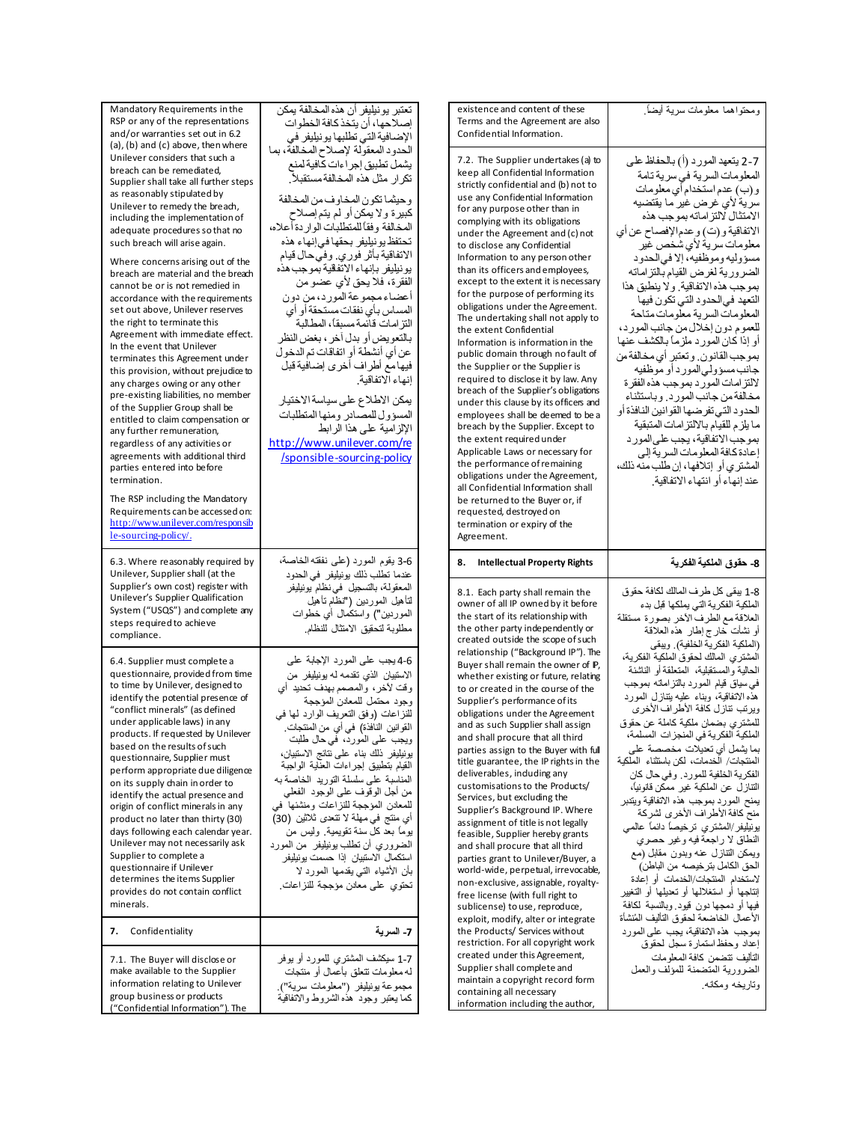| Mandatory Requirements in the                                                                                 | تعتبر يونيليفر أن هذه المخالفة يمكن    | existence and content of these            | ومحتواهما معلومات سرية أيضاً.              |
|---------------------------------------------------------------------------------------------------------------|----------------------------------------|-------------------------------------------|--------------------------------------------|
| RSP or any of the representations                                                                             | إصلاحها، أن يتخذ كافة الخطوات          | Terms and the Agreement are also          |                                            |
| and/or warranties set out in 6.2                                                                              | الإضافية التي تطلبها يونيليفر في       | Confidential Information.                 |                                            |
| (a), (b) and (c) above, then where                                                                            |                                        |                                           |                                            |
| Unilever considers that such a                                                                                | الحدود المعقولة لإصلاح المخالفة، بما   | 7.2. The Supplier undertakes (a) to       |                                            |
| breach can be remediated.                                                                                     | يشمل تطبيق إجراءات كافية لمنع          | keep all Confidential Information         | 2-7 ينعهد المورد (أ) بالحفاظ على           |
| Supplier shall take all further steps                                                                         | تكرار مثل هذه المخالفة مستقبلاً.       |                                           | المعلومات السرية في سرية تلمة              |
| as reasonably stipulated by                                                                                   |                                        | strictly confidential and (b) not to      | و(ب) عدم استخدام أي معلومات                |
|                                                                                                               | وحيثما تكون المخاوف من المخالفة        | use any Confidential Information          | سرية لأي غرض غير ما يقتضيه                 |
| Unilever to remedy the breach,                                                                                | كبيرة ولا يمكن أو لم يتم إصلاح         | for any purpose other than in             | الامتثال لالتزاماته بموجب هذه              |
| including the implementation of                                                                               | المخالفة وفقأ للمتطلبات الواردة أعلاه، | complying with its obligations            |                                            |
| adequate procedures so that no                                                                                |                                        | under the Agreement and (c) not           | الاتفاقية و(ت) وعدمالإفصاح عن أي           |
| such breach will arise again.                                                                                 | تحتفظ يونيليفر بحقها فيإنهاء هذه       | to disclose any Confidential              | معلومات سرية لأي شخص غير                   |
|                                                                                                               | الاتفاقية بأثر فوري وفي حال قيام       | Information to any person other           | مسوّ و ليه و مو ظفيه، إلا في الحدو د       |
| Where concerns arising out of the                                                                             | يونيليفر بإنهاء الاتفانية بموجب هذه    | than its officers and employees,          | الضرورية لغرض القيام بالتزاماته            |
| breach are material and the breach                                                                            | الفقرة، فلا يحق لأي عضو من             | except to the extent it is necessary      |                                            |
| cannot be or is not remedied in                                                                               |                                        | for the purpose of performing its         | بموجب هذه الاتفاقية. ولا ينطبق هذا         |
| accordance with the requirements                                                                              | أعضاء مجموعة المورد، من دون            | obligations under the Agreement.          | التعهد في الحدود التي تكون فيها            |
| set out above, Unilever reserves                                                                              | المساس بأي نفقات مستحقة أو أي          |                                           | المعلومات السرية معلومات متاحة             |
| the right to terminate this                                                                                   | النز امات فائمة مسبقاً، المطالبة       | The undertaking shall not apply to        | للعموم دون إخلال من جانب المورد،           |
| Agreement with immediate effect.                                                                              | بالنعويض أو بدل أخر ، بغض النظر        | the extent Confidential                   |                                            |
| In the event that Unilever                                                                                    |                                        | Information is information in the         | أو إذا كان المورد ملزماً بالكشف عنها       |
| terminates this Agreement under                                                                               | عن أي أنشطة أو اتفاقات تم الدخول       | public domain through no fault of         | بموجب القانون. وتعتبر أي مخالفةمن          |
| this provision, without prejudice to                                                                          | فيهامع أطراف أخرى إضافية قبل           | the Supplier or the Supplier is           | جانب مسؤولي المورد أو موظفيه               |
| any charges owing or any other                                                                                | إنهاء الاتفاقية                        | required to disclose it by law. Any       | لالتز امات المورد بموجب هذه الفقرة         |
| pre-existing liabilities, no member                                                                           |                                        | breach of the Supplier's obligations      |                                            |
|                                                                                                               | يمكن الاطلاع على سياسة الاختيار        | under this clause by its officers and     | مخالفة من جانب المورد. وباستثناء           |
| of the Supplier Group shall be                                                                                | المسؤول للمصادر ومنها المنطلبات        | employees shall be deemed to be a         | الحدود التي تفرضها القوانين النافذة أو     |
| entitled to claim compensation or                                                                             | الإلزامية على هذا الرابط               | breach by the Supplier. Except to         | ما يلز م للقيام بالالتز امات المتبقية      |
| any further remuneration,                                                                                     |                                        | the extent required under                 | بموجب الاتفاقية، يجب على المورد            |
| regardless of any activities or                                                                               | http://www.unilever.com/re             | Applicable Laws or necessary for          |                                            |
| agreements with additional third                                                                              | /sponsible-sourcing-policy             |                                           | إعادة كافة المعلومات السرية إلى            |
| parties entered into before                                                                                   |                                        | the performance of remaining              | المشتري أو إتلافها، إن طلب منه ذلك،        |
| termination.                                                                                                  |                                        | obligations under the Agreement,          | عند إنهاء أو انتهاء الاتفاقبة.             |
|                                                                                                               |                                        | all Confidential Information shall        |                                            |
| The RSP including the Mandatory                                                                               |                                        | be returned to the Buyer or, if           |                                            |
| Requirements can be accessed on:                                                                              |                                        | requested, destroyed on                   |                                            |
| http://www.unilever.com/responsib                                                                             |                                        | termination or expiry of the              |                                            |
| le-sourcing-policy/.                                                                                          |                                        | Agreement.                                |                                            |
|                                                                                                               |                                        |                                           |                                            |
|                                                                                                               |                                        |                                           |                                            |
|                                                                                                               |                                        |                                           |                                            |
|                                                                                                               | 5-3 يقوم المورد (على نفقته الخاصة،     | <b>Intellectual Property Rights</b><br>8. | 8- حقوق الملكية الفكرية                    |
| 6.3. Where reasonably required by<br>Unilever, Supplier shall (at the                                         | عندما تطلب ذلك يونيليفر في الحدود      |                                           |                                            |
|                                                                                                               | المعقولة، بالتسجيل في نظام بونيليفر    | 8.1. Each party shall remain the          | 8-1 بيقى كل طر ف المالك لكافة حقو ق        |
| Supplier's own cost) register with<br>Unilever's Supplier Qualification                                       | لتأهيل الموردين ("نظام نأهيل           | owner of all IP owned by it before        |                                            |
|                                                                                                               | الموردين") واستكمال أي خطوات           | the start of its relationship with        | الملكية الفكرية التي يملكها قبل بدء        |
|                                                                                                               |                                        |                                           | العلاقةمع الطرف الأخر بصورة مستقلة         |
| System ("USQS") and complete any<br>steps required to achieve<br>compliance.                                  | مطلوبة لتحقيق الامتثال للنظام          | the other party independently or          | أو نشأت خارج إطار هذه العلاقة              |
|                                                                                                               |                                        | created outside the scope of such         | (الملكية الفكرية الخلفية). ويبقى           |
|                                                                                                               | 4-6 يجب على المورد الإجابة على         | relationship ("Background IP"). The       | المشترى المالك لحقوق الملكية الفكرية،      |
| 6.4. Supplier must complete a                                                                                 |                                        | Buyer shall remain the owner of P,        | الحالية والمستقلية، المتعلقة أو الناشئة    |
| questionnaire, provided from time                                                                             | الاستبيان الذي تقدمه له بونيليفر من    | whether existing or future, relating      | في سياق قيام المورد بالتزاماته بموجب       |
| to time by Unilever, designed to                                                                              | وقت لأخر، والمصمم بهدف تحديد أي        | to or created in the course of the        |                                            |
| identify the potential presence of                                                                            | وجود محتمل للمعادن المؤججة             | Supplier's performance of its             | هذه الاتفاقية، وبناء عليه بتنازل المورد    |
| "conflict minerals" (as defined                                                                               | للنزاعات (وفق التعريف الوارد لمها في   | obligations under the Agreement           | وير تب تتاز ل كافة الأطر اف الأخر ي        |
| under applicable laws) in any                                                                                 | القوانين النافذة) في أي من المنتجات.   | and as such Supplier shall assign         | للمشتر ي بضمان ملكية كاملة عن حقوق         |
| products. If requested by Unilever                                                                            |                                        | and shall procure that all third          | الملكية الفكرية في المنجز ات المسلمة،      |
| based on the results of such                                                                                  | ويجب على المورد، في حال طلبت           | parties assign to the Buyer with full     | بما يشمل أي تعنيلات مخصصة على              |
| questionnaire, Supplier must                                                                                  | بونيليفر ذلك بناء على نتائج الاستبيان، | title guarantee, the IP rights in the     | المنتجات/ الخدمات، لكن باستثناء الملكية    |
| perform appropriate due diligence                                                                             | القيام بتطبيق اجراءات العذلية الواجبة  | deliverables, induding any                |                                            |
| on its supply chain in order to                                                                               | المناسبة على سلسلة التوريد الخاصة به   | customisations to the Products/           | الفكرية الخلفية للمورد. وفي حال كان        |
| identify the actual presence and                                                                              | من أجل الوقوف على الوجود الفعلمي       |                                           | النتاز ل عن الملكية غير  ممكن قانونياً،    |
|                                                                                                               | للمعلان المؤججة للنزاعات ومنشئها في    | Services, but excluding the               | يمنح المورد بموجب هذه الاتفاقية ويتدبر     |
|                                                                                                               | أي منتج في مهلة لا نتحدى ثلاثين (30)   | Supplier's Background IP. Where           | منح كافة الأطراف الأخرى لشركة              |
|                                                                                                               |                                        | assignment of title is not legally        | بونيليفر/المشتري ترخيصأ دائمأ عالمي        |
| origin of conflict minerals in any<br>product no later than thirty (30)<br>days following each calendar year. | بوماً بعد كل سنة نقويمية. وليس من      | feasible, Supplier hereby grants          | النطاق لا راجعة فيه وغير حصوي              |
|                                                                                                               | المضووري أن نطلب بونيليفر ً من المورد  | and shall procure that all third          | ويمكن التنازل عنه وبدون مقابل (مع          |
| Unilever may not necessarily ask<br>Supplier to complete a                                                    | استكمال الاستبيان إذا حسمت يونيليفر    | parties grant to Unilever/Buyer, a        |                                            |
| questionnaire if Unilever                                                                                     | بأن الأشياء التـَّى يقدمها المورد لا   | world-wide, perpetual, irrevocable,       | الحق الكامل بتر خيصه من الباطن)            |
| determines the items Supplier                                                                                 | تحتوى على معادن مؤججة للنزاعات.        | non-exclusive, assignable, royalty-       | لاستخدام المنتجات/الخدمات أو إعادة         |
| provides do not contain conflict                                                                              |                                        | free license (with full right to          | إنتاجها أو استغلالها أو تحديلها أو التغيير |
|                                                                                                               |                                        | sublicense) to use, reproduce,            | فيها أو دمجها دون قيود وبالنسبة لكافة      |
|                                                                                                               |                                        | exploit, modify, alter or integrate       | الأعمال الخاضعة لحقوق التأليف المنشأة      |
|                                                                                                               | 7- السرية                              | the Products/ Services without            | بموجب هذه الاتفاقية، يجب على المورد        |
|                                                                                                               |                                        | restriction. For all copyright work       | إعداد وحفظ استمارة سجل لحقوق               |
|                                                                                                               |                                        | created under this Agreement,             |                                            |
|                                                                                                               | 1-7 سيكشف المشترى للمورد أو بوفر       |                                           | التأليف نتضمن كافة المعلو مات              |
| minerals.<br>7. Confidentiality<br>7.1. The Buyer will disclose or<br>make available to the Supplier          | له معلو مات نتعلق بأعمال أو  منتجات    | Supplier shall complete and               | الضوورية المتضمنة للمؤلف والعمل            |
| information relating to Unilever                                                                              | مجموعة بونيليفر ("معلومات سرية").      | maintain a copyright record form          | وتاريخه ومكله.                             |
| group business or products                                                                                    | كما يعتبر وجود هذه الشروط والاتفاقية   | containing all necessary                  |                                            |
| ("Confidential Information"). The                                                                             |                                        | information including the author,         |                                            |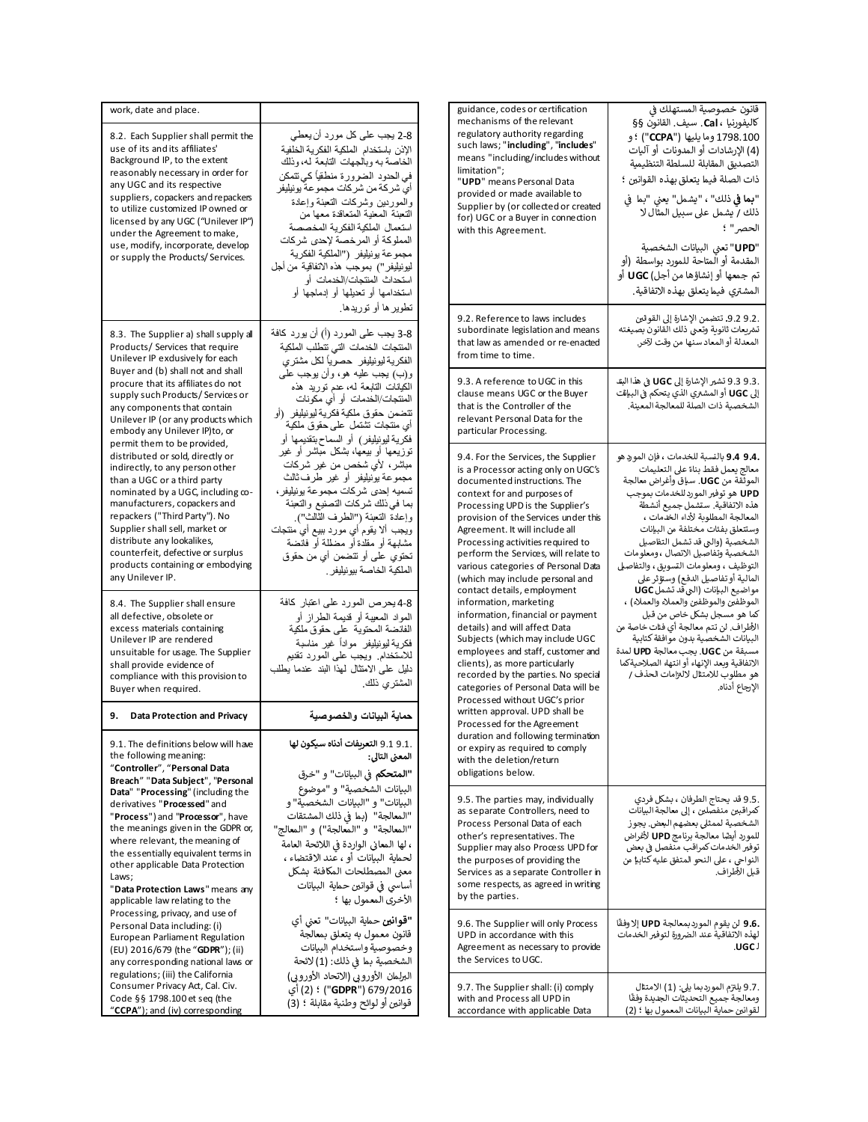| work, date and place.                                                                                                                                                                                                                                                                                                                                                                               |                                                                                                                                                                                                                                                                                                                                                                                                                                                                                                                         | guidance, codes or certification                                                                                                                                                                                                                                                                                                                                                                                                              | قانون خصوصية المستهلك في                                                                                                                                                                                                                                                                                                                                                                                                                                              |
|-----------------------------------------------------------------------------------------------------------------------------------------------------------------------------------------------------------------------------------------------------------------------------------------------------------------------------------------------------------------------------------------------------|-------------------------------------------------------------------------------------------------------------------------------------------------------------------------------------------------------------------------------------------------------------------------------------------------------------------------------------------------------------------------------------------------------------------------------------------------------------------------------------------------------------------------|-----------------------------------------------------------------------------------------------------------------------------------------------------------------------------------------------------------------------------------------------------------------------------------------------------------------------------------------------------------------------------------------------------------------------------------------------|-----------------------------------------------------------------------------------------------------------------------------------------------------------------------------------------------------------------------------------------------------------------------------------------------------------------------------------------------------------------------------------------------------------------------------------------------------------------------|
| 8.2. Each Supplier shall permit the<br>use of its and its affiliates'<br>Background IP, to the extent<br>reasonably necessary in order for<br>any UGC and its respective<br>suppliers, copackers and repackers<br>to utilize customized IP owned or<br>licensed by any UGC ("Unilever IP")<br>under the Agreement to make,<br>use, modify, incorporate, develop<br>or supply the Products/Services. | 8-2 يجب على كل مورد أن يعطي<br>الإنن باستخدام الملكية الفكر ية الخلفية<br>الخاصة به وبالجهات التابعة له، وذلك<br>في الحدود الضوورة منطقياً كي تتمكن<br>أيّ شركة من شركات مجموعة يونيليفر<br>والموردين وشركات النعبئة وإعادة<br>التعبئة المعنية المتعاقدة معها من<br>استعمال الملكية الفكر ية المخصصة<br>المملوكة أو المرخصة لإحدى شركات<br>مجمو عة يونيليفر   ("الملكية الفكرية<br>ليونيليفر ") بموجب هذه الاتفاقية من أجل<br>استحداث المنتجات/الخدمات أو<br>استخدامها أو تعديلها أو إدماجها أو<br>تطوير ها أو توريدها. | mechanisms of the relevant<br>regulatory authority regarding<br>such laws; "including", "includes"<br>means "including/includes without<br>limitation";<br>"UPD" means Personal Data<br>provided or made available to<br>Supplier by (or collected or created<br>for) UGC or a Buyer in connection<br>with this Agreement.                                                                                                                    | كاليفورنيا ، Cal. سيف. القانون §§<br>1798.100 وما يليها ("CCPA") ؛ و<br>(4) الإرشادات أو المدونات أو آليات<br>التصديق المقابلة للسلطة التنظيمية<br>ذات الصلة فيما يتعلق بهذه القوانين ؛<br>" <b>بما في</b> ذلك" ، "يشمل" يعني "بما  في<br>ذلك / يشمل على سبيل المثال لا<br>الحصر " ؛<br>"UPD" تعني البيانات الشخصية<br>المقدمة أو المتاحة للمورد بواسطة (أو<br>تم جمعها أو إنشاؤها من أجل) UGC أو<br>المشترى فيما يتعلق بهذه الاتفاقية.                               |
| 8.3. The Supplier a) shall supply all<br>Products/ Services that require<br>Unilever IP exdusively for each                                                                                                                                                                                                                                                                                         | 3-8 يجب على المورد (أ) أن يورد كافة<br>المنتجات الخدمات التي تتطلب الملكية<br>الفكرية ليونيليفر حصوياً لكل مشترى                                                                                                                                                                                                                                                                                                                                                                                                        | 9.2. Reference to laws includes<br>subordinate legislation and means<br>that law as amended or re-enacted<br>from time to time.                                                                                                                                                                                                                                                                                                               | .9.2 9.2. تتضمن الإشارة إلى القوانين<br>تشريعات ثانوية وتعبى ذلك القانون بصيغته<br>المعدلة أو المعاد سنها من وقت لآخر.                                                                                                                                                                                                                                                                                                                                                |
| Buyer and (b) shall not and shall<br>procure that its affiliates do not<br>supply such Products/Services or<br>any components that contain<br>Unilever IP (or any products which<br>embody any Unilever IP)to, or<br>permit them to be provided,                                                                                                                                                    | و(ب) يجب عليه هو، وأن يوجب علَمي<br>الكيانات التابعة لـه، عدم توريد هذه<br>المنتجات/الخدمات أو أي مكونات<br>تتضمن حقوق ملكية فكرية ليونيليفر (أو<br>أى منتجات تشتمل على حقوق ملكية<br>فكرية ليونيليفر) أو السماح بتقديمها أو                                                                                                                                                                                                                                                                                            | 9.3. A reference to UGC in this<br>clause means UGC or the Buyer<br>that is the Controller of the<br>relevant Personal Data for the<br>particular Processing.                                                                                                                                                                                                                                                                                 | .9.3 9.3 تشير الإشارة إلى <b>UGC</b> في هذا البند<br>إلى UGC أو المشترى الذي يتحكم في البيانات<br>الشخصية ذات الصلة للمعالجة المعينة.                                                                                                                                                                                                                                                                                                                                 |
| distributed or sold, directly or<br>indirectly, to any person other<br>than a UGC or a third party<br>nominated by a UGC, including co-<br>manufacturers, copackers and<br>repackers ("Third Party"). No<br>Supplier shall sell, market or<br>distribute any lookalikes,<br>counterfeit, defective or surplus<br>products containing or embodying<br>any Unilever IP.                               | توزیعها أو بیعها، بشکل مباشر أو غیر<br>مباشر ، لأى شخص من غير شركات<br>مجموعة بوْنيليفر أو غير طرف ثالث<br>تسميه إحدى شركات مجموعة يونيليفر ،<br>بما في ذلك شركات التصنيع والتعبئة<br>وإعادة التعبئة ("الطرف الثالث").<br>ويجب ألا يقوم أي مورد ببيع أي منتجات<br>مشابهة أو مقلدة أو مضللة أو فآنضة<br>تحتوي على أو نتضمن أي من حقوق<br>الملكية الخاصة بيو نيليفر .                                                                                                                                                     | 9.4. For the Services, the Supplier<br>is a Processor acting only on UGC's<br>documented instructions. The<br>context for and purposes of<br>Processing UPD is the Supplier's<br>provision of the Services under this<br>Agreement. It will include all<br>Processing activities required to<br>perform the Services, will relate to<br>various categories of Personal Data<br>(which may include personal and<br>contact details, employment | .9.4 9.4 بالنسبة للخدمات ، فإن المو د هو<br>معالج يعمل فقط بناءً على التعليمات<br>الموثقة من UGC. سياق وأغراض معالجة<br>UPD هو توفير المورد للخدمات بموجب<br>هذه الاتفاقية. ستشمل جميع أنشطة<br>المعالجة المطلوبة لأداء الخدمات ،<br>وستتعلق بفئات مختلفة من البيانات<br>الشخصية (والبي قد تشمل التفاصيل<br>الشخصية وتفاصيل الاتصال ، ومعلو مات<br>التوظيف ، ومعلومات التسويق ، والتفاصيل<br>المالية أو تفاصيل الدفع) وستؤثر على<br>مواضيع البيانات (التي قد تشمل UGC |
| 8.4. The Supplier shall ensure<br>all defective, obsolete or<br>excess materials containing<br>Unilever IP are rendered<br>unsuitable for usage. The Supplier<br>shall provide evidence of<br>compliance with this provision to<br>Buyer when required.                                                                                                                                             | 4-8 بحرص المورد على اعتبار كافة<br>المواد المعيبة أو قديمة الطر از أو<br>الفائضة المحتوية على حقوق ملكية<br>فكرية ليونيليفرۃ مو اداً غير مناسبة<br>للاستخدام ويجب علىى المورد نقديم<br>دليل على الامتثال لمهذا البند عندما يطلب<br>المشترى ذلك                                                                                                                                                                                                                                                                          | information, marketing<br>information, financial or payment<br>details) and will affect Data<br>Subjects (which may include UGC<br>employees and staff, customer and<br>clients), as more particularly<br>recorded by the parties. No special<br>categories of Personal Data will be<br>Processed without UGC's prior                                                                                                                         | الموظفين والموظفين والعملاء والعملاء) ،<br>كما هو مسجل بشكل خاص من قبل<br>الأطراف. لن تتم معالجة أي فئات خاصة من<br>البيانات الشخصية بدون موافقة كتابية<br>مسبقة من UGC. يجب معالجة UPD لمدة<br>الاتفاقية وبعد الانهاء أو انتهاء الصلاحيةكما<br>هو مطلوب للامتثال لالتزامات الحذف /<br>الإرجاع أدناه.                                                                                                                                                                 |
| 9. Data Protection and Privacy<br>9.1. The definitions below will have<br>the following meaning:<br>"Controller", "Personal Data<br>Breach" "Data Subject", "Personal                                                                                                                                                                                                                               | حماية البيانات والخصوصية<br>.9.1 9.1 التعريفات أدناه سيكون لها<br>المعنى التالي:<br>"المتحكم في البيانات" و <sup>"</sup> خرق                                                                                                                                                                                                                                                                                                                                                                                            | written approval. UPD shall be<br>Processed for the Agreement<br>duration and following termination<br>or expiry as required to comply<br>with the deletion/return<br>obligations below.                                                                                                                                                                                                                                                      |                                                                                                                                                                                                                                                                                                                                                                                                                                                                       |
| Data" "Processing" (including the<br>derivatives "Processed" and<br>"Process") and "Processor", have<br>the meanings given in the GDPR or,<br>where relevant, the meaning of<br>the essentially equivalent terms in<br>other applicable Data Protection<br>Laws;<br>"Data Protection Laws" means any<br>applicable law relating to the                                                              | البيانات الشخصية" و "موضوع<br>البيانات" و "البيانات الشخصية" و<br>"المعالجة" (بما في ذلك المشتقات<br>"المعالجة" و "المعالجة") و "المعالج"<br>، لها المعاني الواردة في اللائحة العامة<br>لحماية البيانات أو ، عند الاقتضاء ،<br>معنى المصطلحات المكافئة بشكل<br>أساسي في قوانين حماية البيانات<br>الأخرى المعمول بها ؛                                                                                                                                                                                                   | 9.5. The parties may, individually<br>as separate Controllers, need to<br>Process Personal Data of each<br>other's representatives. The<br>Supplier may also Process UPD for<br>the purposes of providing the<br>Services as a separate Controller in<br>some respects, as agreed in writing<br>by the parties.                                                                                                                               | .9.5 قد يحتاج الطرفان ، بشكل فردي<br>كمراقبين منفصلين ، إلى معالجة البيانات<br>الشخصية لممثلى بعضهم البعض. يجوز<br>للمورد أيضًا معالجة برنامج UPD لأغراض<br>توفير الخدمات كمراقب منفصل في بعض<br>النواحي ، على النحو المتفق عليه كتابيا من<br>قبل الأطراف.                                                                                                                                                                                                            |
| Processing, privacy, and use of<br>Personal Data including: (i)<br>European Parliament Regulation<br>(EU) 2016/679 (the " <b>GDPR</b> "); (ii)<br>any corresponding national laws or<br>regulations; (iii) the California                                                                                                                                                                           | "قوانين حماية البيانات" تعني أي<br>قانون معمول به يتعلق بمعالجة<br>وخصوصية واستخدام البيانات<br>الشخصية بما في ذلك: (1) لائحة<br>البرلمان الأوروبي (الاتحاد الأوروبي)                                                                                                                                                                                                                                                                                                                                                   | 9.6. The Supplier will only Process<br>UPD in accordance with this<br>Agreement as necessary to provide<br>the Services to UGC.                                                                                                                                                                                                                                                                                                               | .9.6 لن يقوم المورد بمعالجة UPD إلا وفقًا<br>لهذه الاتفاقية عند الضرورة لتوفير الخدمات<br><b>UGC</b>                                                                                                                                                                                                                                                                                                                                                                  |
| Consumer Privacy Act, Cal. Civ.<br>Code §§ 1798.100 et seq (the<br>"CCPA"); and (iv) corresponding                                                                                                                                                                                                                                                                                                  | GDPR") 679/2016 ("GDPR") ؛ (2) أي<br>قوانين أو لوائح وطنية مقابلة ؛ (3)                                                                                                                                                                                                                                                                                                                                                                                                                                                 | 9.7. The Supplier shall: (i) comply<br>with and Process all UPD in<br>accordance with applicable Data                                                                                                                                                                                                                                                                                                                                         | .9.7 يلتزم الموردبما يلي: (1) الامتثال<br>ومعالجة جميع التحديثات الجديدة وفقًا<br>لقوانين حماية البيانات المعمول بها ؛ (2)                                                                                                                                                                                                                                                                                                                                            |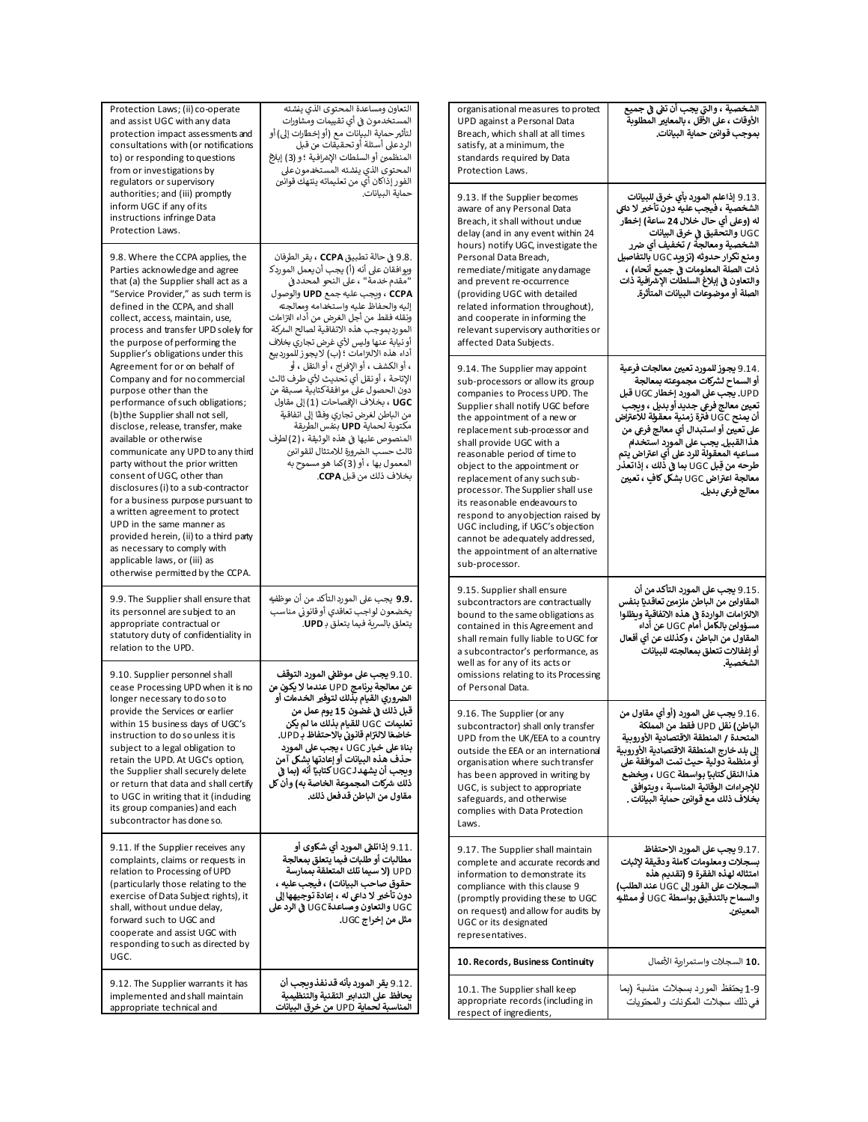| Protection Laws; (ii) co-operate<br>and assist UGC with any data<br>protection impact assessments and<br>consultations with (or notifications<br>to) or responding to questions<br>from or investigations by<br>regulators or supervisory<br>authorities; and (iii) promptly<br>inform UGC if any of its<br>instructions infringe Data<br>Protection Laws.                                                                                                                                                                                                                                                                   | التعاون ومساعدة المحتوى الذى ينشئه<br>المستخدمون في أي تقييمات ومشاورات<br>لتأثير حماية البيانات مع (أو إخطارات إلى) أو<br>الردعلى أسئلة أوتحقيقات من قبل<br>المنظمين أو السلطات الإشرافية ؛ و (3) إبلاغ<br>المحتوى الذى ينشئه المستخدمون على<br>الفور إذاكان أي من تعليماته ينتهك قوانين<br>حماية البيانات.                                                                                     | organisational measures to protect<br>UPD against a Personal Data<br>Breach, which shall at all times<br>satisfy, at a minimum, the<br>standards required by Data<br>Protection Laws.<br>9.13. If the Supplier becomes<br>aware of any Personal Data<br>Breach, it shall without undue<br>delay (and in any event within 24<br>hours) notify UGC, investigate the                                                                                                                                                                                                              | الشخصية ، والتي يجب أن تفي في جميع<br>الأوقات ، على الأقل ، بالمعايير المطلوبة<br>بموجب قوانين حماية البيانات.<br>.9.13 إذاعلم المورد بأي خرق للبيانات<br>الشخصية ، فَيجب عليه دون تأخير لا داي<br>له (وعلى أي حال خلال 24 ساعة) إخطار<br>UGC والتحقيق في خرق البيانات<br>الشخصية ومعالجة / تخفيف أي ضرر                                                                                                                      |
|------------------------------------------------------------------------------------------------------------------------------------------------------------------------------------------------------------------------------------------------------------------------------------------------------------------------------------------------------------------------------------------------------------------------------------------------------------------------------------------------------------------------------------------------------------------------------------------------------------------------------|--------------------------------------------------------------------------------------------------------------------------------------------------------------------------------------------------------------------------------------------------------------------------------------------------------------------------------------------------------------------------------------------------|--------------------------------------------------------------------------------------------------------------------------------------------------------------------------------------------------------------------------------------------------------------------------------------------------------------------------------------------------------------------------------------------------------------------------------------------------------------------------------------------------------------------------------------------------------------------------------|-------------------------------------------------------------------------------------------------------------------------------------------------------------------------------------------------------------------------------------------------------------------------------------------------------------------------------------------------------------------------------------------------------------------------------|
| 9.8. Where the CCPA applies, the<br>Parties acknowledge and agree<br>that (a) the Supplier shall act as a<br>"Service Provider," as such term is<br>defined in the CCPA, and shall<br>collect, access, maintain, use,<br>process and transfer UPD solely for<br>the purpose of performing the<br>Supplier's obligations under this                                                                                                                                                                                                                                                                                           | .9.8 في حالة تطبيق <b>CCPA</b> ، يقر الطرفان<br>وبو افقان على أنه (أ) يجب أن يعمل المو ردك<br>"مقدم خدمة" ، على النحو المحدد في<br>CCPA ، ويجب عليه جمع UPD والوصول<br>إليه والحفاظ عليه واستخدامه ومعالجته<br>ونقله فقط من أجل الغرض من أداء التزامات<br>الموردبموجب هذه الاتفاقية لصالح السركة<br>أو نيابة عنها وليس لأى غرض تجارى بخلاف<br>أداء هذه الالتزامات ؛ (ب) لايجوز للموردبيع         | Personal Data Breach,<br>remediate/mitigate any damage<br>and prevent re-occurrence<br>(providing UGC with detailed<br>related information throughout),<br>and cooperate in informing the<br>relevant supervisory authorities or<br>affected Data Subjects.                                                                                                                                                                                                                                                                                                                    | ومنع تكرار حدوثه (تزويد UGC بالتفاصيل<br>ذات الصلة المعلومات في جميع أنحاء) ،<br>والتعاون في إبلاغ السلطات الإشرافية ذات<br>الصلة أو موضوعات البيانات المتأثرة.                                                                                                                                                                                                                                                               |
| Agreement for or on behalf of<br>Company and for no commercial<br>purpose other than the<br>performance of such obligations;<br>(b)the Supplier shall not sell,<br>disclose, release, transfer, make<br>available or otherwise<br>communicate any UPD to any third<br>party without the prior written<br>consent of UGC, other than<br>disclosures (i) to a sub-contractor<br>for a business purpose pursuant to<br>a written agreement to protect<br>UPD in the same manner as<br>provided herein, (ii) to a third party<br>as necessary to comply with<br>applicable laws, or (iii) as<br>otherwise permitted by the CCPA. | ، أو الكشف ، أو الإفراج ، أو النقل ، أو<br>الإتاحة ، أو نقل أي تحديث لأي طرف ثالث<br>دون الحصول على موافقةكتابية مسبقة من<br>UGC ، بخلاف الإفصاحات (1) إلى مقاول<br>من الباطن لغرض تجاري وفقًا إلى اتفاقية<br>مكتوبة لحماية UPD بنفس الطريقة<br>المنصوص عليها في هذه الوثيقة ، ( 2) لطرف<br>ثالث حسب الضرورة للامتثال للقو انين<br>المعمول بها ، أو (3)كما هو مسموح به<br>بخلاف ذلك من قبل CCPA. | 9.14. The Supplier may appoint<br>sub-processors or allow its group<br>companies to Process UPD. The<br>Supplier shall notify UGC before<br>the appointment of a new or<br>replacement sub-processor and<br>shall provide UGC with a<br>reasonable period of time to<br>object to the appointment or<br>replacement of any such sub-<br>processor. The Supplier shall use<br>its reasonable endeavours to<br>respond to any objection raised by<br>UGC including, if UGC's objection<br>cannot be adequately addressed,<br>the appointment of an alternative<br>sub-processor. | .9.14 يجوز للمورد تعيين معالجات فرعية<br>أو السماح لشركات مجموعته بمعالجة<br>UPD. يجب على المورد إخطار UGC قبل<br>تعيين معالج فرعي جديد أو بديل ، ويجب<br>أن يمنح UGC فترة زمنية معقولة للاعتراض<br>على تعيين أو استبدال أي معالج فرعي من<br>هذا القبيل. يجب على المورد استخدام<br>مساعيه المعقولة للرد على أي اعتراض يتم<br>طرحه من قِبل UGC بما في ذلك ، إذاتعذر<br>معالجة اعتراض UGC بشكل كافٍ ، تعيين<br>معالج فرعي بديل. |
| 9.9. The Supplier shall ensure that<br>its personnel are subject to an<br>appropriate contractual or<br>statutory duty of confidentiality in<br>relation to the UPD.                                                                                                                                                                                                                                                                                                                                                                                                                                                         | .9.9 يجب على المورد التأكد من أن موظفيه<br>يخضعون لواجب تعاقدى أو قانوني مناسب<br>يتعلق بالسربة فيما يتعلق بـ UPD.                                                                                                                                                                                                                                                                               | 9.15. Supplier shall ensure<br>subcontractors are contractually<br>bound to the same obligations as<br>contained in this Agreement and<br>shall remain fully liable to UGC for<br>a subcontractor's performance, as<br>well as for any of its acts or                                                                                                                                                                                                                                                                                                                          | .9.15 يجب على المورد التأكد من أن<br>المقاولين من الباطن ملزمين تعاقديًا بنفس<br>الالتزامات الواردة في هذه الاتفاقية وبظلوا<br>مسؤولين بالكامل أمام UGC عن أداء<br>المقاول من الباطن ، وكذلك عن أي أفعال<br>أو إغفالات تتعلق بمعالجته للبيانات<br>الشخصية.                                                                                                                                                                    |
| 9.10. Supplier personnel shall<br>cease Processing UPD when it is no<br>longer necessary to do so to                                                                                                                                                                                                                                                                                                                                                                                                                                                                                                                         | .9.10 يجب على موظفي المورد التوقف<br>عن معالجة برنامج UPD عندما لا يكون من<br>الضروري القيام بذلك لتوفير الخدمات أو                                                                                                                                                                                                                                                                              | omissions relating to its Processing<br>of Personal Data.                                                                                                                                                                                                                                                                                                                                                                                                                                                                                                                      |                                                                                                                                                                                                                                                                                                                                                                                                                               |
| provide the Services or earlier<br>within 15 business days of UGC's<br>instruction to dosounless it is<br>subject to a legal obligation to<br>retain the UPD. At UGC's option,<br>the Supplier shall securely delete<br>or return that data and shall certify<br>to UGC in writing that it (induding<br>its group companies) and each<br>subcontractor has done so.                                                                                                                                                                                                                                                          | قبل ذلك في غضون 15 يوم عمل من<br>تعليمات UGC للقيام بذلك ما لم يكن<br>خاصعًا لالتزام قانوني بالاحتفاظ بـ UPD.<br>بناءً على خيار UGC ، يجب على المورد<br>حذف هذه البيانات أو إعادتها بشكل آمن<br>وبجب أن يشهدلـ UGC كتابيًا أنه (بما في<br>ذلك شركات المجموعة الخاصة به) وأن كل<br>مقاول من الباطن قدفعل ذلك.                                                                                     | 9.16. The Supplier (or any<br>subcontractor) shall only transfer<br>UPD from the UK/EEA to a country<br>outside the EEA or an international<br>organisation where such transfer<br>has been approved in writing by<br>UGC, is subject to appropriate<br>safeguards, and otherwise<br>complies with Data Protection<br>Laws.                                                                                                                                                                                                                                                    | .9.16 يجب على المورد (أو أي مقاول من<br>الباطن) نقل ∪PD فقط من المملكة<br>المتحدة / المنطقة الاقتصادية الأوروبية<br>إلى بلد خارج المنطقة الاقتصادية الأوروبية<br>أو منظمة دولية حيث تمت الموافقة على<br>هذا النقل كتابيًا بواسطة UGC ، ويخضع<br>للإجراءات الوقائية المناسبة ، ويتوافق<br>بخلاف ذلك مع قوانين حماية البيانات .                                                                                                 |
| 9.11. If the Supplier receives any<br>complaints, claims or requests in<br>relation to Processing of UPD<br>(particularly those relating to the<br>exercise of Data Subject rights), it<br>shall, without undue delay,<br>forward such to UGC and<br>cooperate and assist UGC with<br>responding to such as directed by<br>UGC.                                                                                                                                                                                                                                                                                              | .9.11 إذاتلقي المورد أي شكاوى أو<br>مطالبات أو طلبات فيما يتعلق بمعالجة<br>UPD (لا سيما تلك المتعلقة بممارسة<br>حقوق صاحب البيانات) ، فيجب عليه ،<br>دون تأخير لا داعي له ، إعادة توجيهها إلى<br>UGC والتعاون ومساعدة UGC في الرد على<br>مثل من إخراج UGC.                                                                                                                                       | 9.17. The Supplier shall maintain<br>complete and accurate records and<br>information to demonstrate its<br>compliance with this clause 9<br>(promptly providing these to UGC<br>on request) and allow for audits by<br>UGC or its designated<br>representatives.                                                                                                                                                                                                                                                                                                              | .9.17 يجب على المورد الاحتفاظ<br>بسجلات ومعلومات كاملة ودقيقة لإثبات<br>امتثاله لهذه الفقرة 9 (تقديم هذه<br>السجلات على الفور إلى UGC عند الطلب)<br>والسماح بالتدقيق بواسطة UGC أو ممثليه<br>المعينين.                                                                                                                                                                                                                        |
| 9.12. The Supplier warrants it has                                                                                                                                                                                                                                                                                                                                                                                                                                                                                                                                                                                           | .9.12 يقر المورد بأنه قدنفذ ويجب أن                                                                                                                                                                                                                                                                                                                                                              | 10. Records, Business Continuity                                                                                                                                                                                                                                                                                                                                                                                                                                                                                                                                               | .10 السجلات واستمراربة الأعمال<br>1-9 يحتفظ المورد بسجلات مناسبة (بما                                                                                                                                                                                                                                                                                                                                                         |
| implemented and shall maintain<br>appropriate technical and                                                                                                                                                                                                                                                                                                                                                                                                                                                                                                                                                                  | يحافظ على التدابير التقنية والتنظيمية<br>المناسبة لحماية UPD من خرق البيانات                                                                                                                                                                                                                                                                                                                     | 10.1. The Supplier shall keep<br>appropriate records (including in<br>respect of ingredients,                                                                                                                                                                                                                                                                                                                                                                                                                                                                                  | في ذلك سجلات المكونات والمحتويات                                                                                                                                                                                                                                                                                                                                                                                              |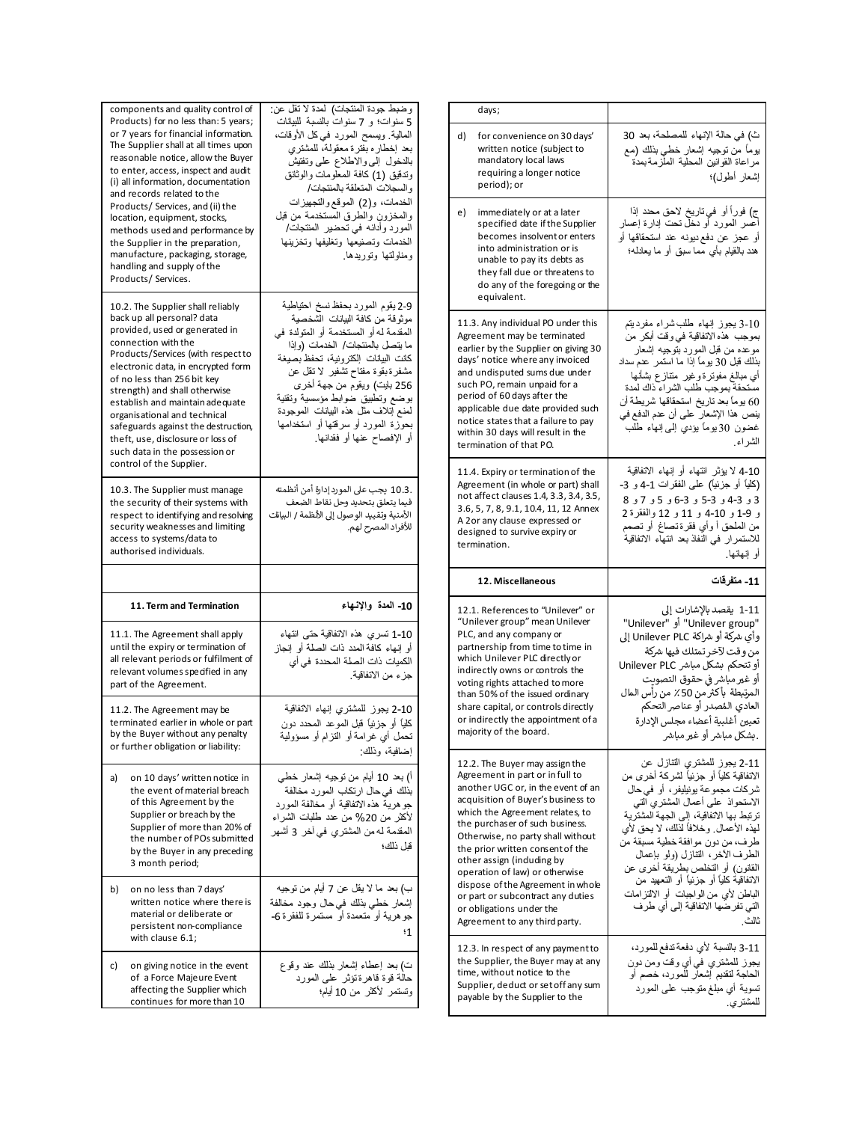| components and quality control of<br>Products) for no less than: 5 years;                                                                                                                                                                                                                                                                                                                                                                             | و ضبط جودة المنتجات) لمدة لا تقل عن:<br>5 سنوات؛ و 7 سنواتٌ بالنسبة للبيانات                                                                                                                                                                                                                                                                                                                                   | days;                                                                                                                                                                                                                                                                                                                                                                                    |                                                                                                                                                                                                                                                                                                                                                                    |
|-------------------------------------------------------------------------------------------------------------------------------------------------------------------------------------------------------------------------------------------------------------------------------------------------------------------------------------------------------------------------------------------------------------------------------------------------------|----------------------------------------------------------------------------------------------------------------------------------------------------------------------------------------------------------------------------------------------------------------------------------------------------------------------------------------------------------------------------------------------------------------|------------------------------------------------------------------------------------------------------------------------------------------------------------------------------------------------------------------------------------------------------------------------------------------------------------------------------------------------------------------------------------------|--------------------------------------------------------------------------------------------------------------------------------------------------------------------------------------------------------------------------------------------------------------------------------------------------------------------------------------------------------------------|
| or 7 years for financial information.<br>The Supplier shall at all times upon<br>reasonable notice, allow the Buyer<br>to enter, access, inspect and audit<br>(i) all information, documentation<br>and records related to the                                                                                                                                                                                                                        | المالية. ويسمح المورد في كل الأوقات،<br>بعد إخطار ه بفترة معقولة، للمشترى<br>بالدخول إلىىوالاطلاع علىى وتفتيش<br>وندقيق (1) كافة المعلومات والوثانق<br>والسجلات المتعلقة بالمنتجات/                                                                                                                                                                                                                            | for convenience on 30 days'<br>d)<br>written notice (subject to<br>mandatory local laws<br>requiring a longer notice<br>period); or                                                                                                                                                                                                                                                      | ث) في حالة الإنهاء للمصلحة، بعد 30<br>بوماً من نوجيه إشعار خطي بذلك (مع<br>مراعاة القوانين المحلية الملزمةبمدة<br>اِشعار أطول)؛                                                                                                                                                                                                                                    |
| Products/Services, and (ii) the<br>location, equipment, stocks,<br>methods used and performance by<br>the Supplier in the preparation,<br>manufacture, packaging, storage,<br>handling and supply of the<br>Products/ Services.                                                                                                                                                                                                                       | الخدمات، و(2) الموقع والتجهيزات<br>والمخزون والطرق المستخدمة من قبل<br>المورد وأدائه في تحضير المنتجات/<br>الخدمات وتصنيعها وتغليفها وتخزينها<br>ومناولتها وتوربدها                                                                                                                                                                                                                                            | immediately or at a later<br>e)<br>specified date if the Supplier<br>becomes insolvent or enters<br>into administration or is<br>unable to pay its debts as<br>they fall due or threatens to<br>do any of the foregoing or the<br>equivalent.                                                                                                                                            | ج) فور أَ أَو  في تاريخ  لاحق محدد  إذا<br>أعسر المورد أو دخل نحت إدارة إعسار<br>أو عجز عن دفع ديونه عند استحقاقها أو<br>هدد بالمقيام بأي مما سبق أو ما يعلدله؛                                                                                                                                                                                                    |
| 10.2. The Supplier shall reliably<br>back up all personal? data<br>provided, used or generated in<br>connection with the<br>Products/Services (with respect to<br>electronic data, in encrypted form<br>of no less than 256 bit key<br>strength) and shall otherwise<br>establish and maintain adequate<br>organisational and technical<br>safeguards against the destruction,<br>theft, use, disclosure or loss of<br>such data in the possession or | 2-9 يقوم المورد بحفظ نسخ احتياطية<br>موثوقة من كافة البيانات الشخصية<br>المقدمة له أو المستخدمة أو المتولدة في<br>ما يتصلى بالمنتجات/ الخدمات (وإذا<br>كلنت البيلنات الكترونية، تحفظ بصيغة<br>مشفرةبقوة مفتاح نتثىفير لانقل عن<br>256 بليت) ويقوم من جهة أخرى<br>بوضع ونطبيق ضوابط مؤسسية ونقنية<br>لمذم آتلاف مثل هذه البيانات الموجودة<br>بحوزة المورد أو سرقتها أو استخدامها<br>أو الإفصاح عنها أو فقدانها. | 11.3. Any individual PO under this<br>Agreement may be terminated<br>earlier by the Supplier on giving 30<br>days' notice where any invoiced<br>and undisputed sums due under<br>such PO, remain unpaid for a<br>period of 60 days after the<br>applicable due date provided such<br>notice states that a failure to pay<br>within 30 days will result in the<br>termination of that PO. | 3-10 يجوز إنهاء طلب شراء مفرديتم<br>بموجب هذه الاتفاقية في وقت أبكر من<br>موعده من قبل المورد بتوجيه إشعار<br>بذلك قبل 30 بوماً إذا ما استمر عدم سداد<br>أي مبالـغ مفونز ةوغير  منتاز ع بشأنـها<br>مستحقة بموجب طلب الشراء ذاك لمدة<br>60 يوماً بعد تاريخ استحقاقها شريطة أن<br>ينص هذا الإشعار على أن عدم الدفع في<br>غضون 30يوماً بؤدي إلىي إنهاء طلب<br>الشر اء |
| control of the Supplier.<br>10.3. The Supplier must manage<br>the security of their systems with<br>respect to identifying and resolving<br>security weaknesses and limiting<br>access to systems/data to                                                                                                                                                                                                                                             | .10.3 يجب على المورد إدارة أمن أنظمته<br>فيما يتعلق بتحديد وحل نقاط الضعف<br>الأمنية وتقييد الوصول إلى الأنظمة / البيانات<br>للأفراد المصرح لهم.                                                                                                                                                                                                                                                               | 11.4. Expiry or termination of the<br>Agreement (in whole or part) shall<br>not affect clauses 1.4, 3.3, 3.4, 3.5,<br>3.6, 5, 7, 8, 9.1, 10.4, 11, 12 Annex<br>A 2or any clause expressed or<br>designed to survive expiry or<br>termination.                                                                                                                                            | 4-10 لا يؤثر انتهاء أو إنهاء الاتفاقية<br>(كلياً أو جزئياً) على الفقرات 1-4 و 3-<br>3 و 3-4 و 3-5 و 3-6 و 5 و 7 و 8<br>و 9-1 و 40-4 و 11 و 12 والفقرة 2<br>من الملحق أ وأي فقرةتصاغ  أو تصمم<br>للاستمرار فى النفاذ بعد انتهاء الاتفاقية                                                                                                                           |
| authorised individuals.                                                                                                                                                                                                                                                                                                                                                                                                                               |                                                                                                                                                                                                                                                                                                                                                                                                                |                                                                                                                                                                                                                                                                                                                                                                                          | أو إنهائها.                                                                                                                                                                                                                                                                                                                                                        |
|                                                                                                                                                                                                                                                                                                                                                                                                                                                       |                                                                                                                                                                                                                                                                                                                                                                                                                | 12. Miscellaneous                                                                                                                                                                                                                                                                                                                                                                        | 11- متفرقات                                                                                                                                                                                                                                                                                                                                                        |
| 11. Term and Termination<br>11.1. The Agreement shall apply<br>until the expiry or termination of<br>all relevant periods or fulfilment of<br>relevant volumes specified in any<br>part of the Agreement.                                                                                                                                                                                                                                             | 10- العدة والإنبهاء<br>1-10 نسرى هذه الاتفاقية حتى انتهاء<br>أو إنهاء كافة المدد ذات الصلة أو إنجاز<br>الكميات ذات الصلة المحددة في أي<br>جز ء من الاتفاقية.                                                                                                                                                                                                                                                   | 12.1. References to "Unilever" or<br>"Unilever group" mean Unilever<br>PLC, and any company or<br>partnership from time to time in<br>which Unilever PLC directly or<br>indirectly owns or controls the<br>voting rights attached to more                                                                                                                                                | 1-11 يقصد بالإشارات إلى<br>"Unilever group" أو "Unilever"<br>وأي شركة أو شراكة Unilever PLC إلى<br>من و ت لآخر تمتلك فيها شركة<br>أو تتحكم بشكل مباشر Unilever PLC<br>أو غير مباشر في حقوق التصويت                                                                                                                                                                 |
| 11.2. The Agreement may be<br>terminated earlier in whole or part<br>by the Buyer without any penalty<br>or further obligation or liability:                                                                                                                                                                                                                                                                                                          | 2-10 يجوز للمشترى إنهاء الاتفاقية<br>كليًّا أو جزئيًّا قبل الموعد المحدد دون<br>تحمل أي غرامة أو التزام أو مسؤولية<br>اضافية، وذلك:                                                                                                                                                                                                                                                                            | than 50% of the issued ordinary<br>share capital, or controls directly<br>or indirectly the appointment of a<br>majority of the board.                                                                                                                                                                                                                                                   | المرتبطة بأكثر من 50 ٪ من رأس المال<br>العادي المُصدر أو عناصر التحكم<br>تعيين أغلبية أعضاء مجلس الإدارة<br>. بشكل مباشر أو غير مباشر                                                                                                                                                                                                                              |
| on 10 days' written notice in<br>a)<br>the event of material breach<br>of this Agreement by the<br>Supplier or breach by the<br>Supplier of more than 20% of<br>the number of POs submitted<br>by the Buyer in any preceding<br>3 month period;                                                                                                                                                                                                       | أ) بعد 10 أيلم من توجيه إشعار خطي<br>بذلك في حال ارتكاب المورد مخالفة<br>جو هرية هذه الاتفاقية أو مخالفة المورد<br>لأكثر من 20% من عدد طلبات الشراء<br>المقدمة له من المشترى في آخر 3 أشهر<br>قل ذلك؛                                                                                                                                                                                                          | 12.2. The Buyer may assign the<br>Agreement in part or in full to<br>another UGC or, in the event of an<br>acquisition of Buyer's business to<br>which the Agreement relates, to<br>the purchaser of such business.<br>Otherwise, no party shall without<br>the prior written consent of the<br>other assign (induding by<br>operation of law) or otherwise                              | 2-11 يجوز للمشترى التتازل عن<br>الاتفاقية كلياً أو جزئياً لشركة أخرى من<br>شركات مجموعة يونيليفر، أو في حال<br>الاستحواذ على أعمال المشترى آلتي<br>ترتبط بها الاتفاقية، إلى الجهة المشترية<br>لمهذه الأعمال وخلافاً لذلك، لا يحق لأي<br>طرف، من دون موافقة خطية مسبقة من<br>الطرف الآخر ، النّتاز ل (ولو بإعمال<br>القلنون) أو التخلص بطريقة أخرى عن               |
| on no less than 7 days'<br>b)<br>written notice where there is<br>material or deliberate or<br>persistent non-compliance<br>with clause 6.1;                                                                                                                                                                                                                                                                                                          | ب) بعد ما لا يقل عن 7 أيلم من نوجيه<br>إشعار خطى بذلك في حال وجود مخالفة<br>جو هر ٻـهَ أو ٱمتعمدة أو ؑ مستمر ة للفقر ة 6-<br>$^{\circ}1$                                                                                                                                                                                                                                                                       | dispose of the Agreement in whole<br>or part or subcontract any duties<br>or obligations under the<br>Agreement to any third party.                                                                                                                                                                                                                                                      | الاتفاقية كلياً أو جزئياً أو التعهيد من<br>الباطن لأي من الواجبات أو الالتزامات<br>التي تفر ضها الاتفاقية إلى أي طرف<br>ثالث<br>3-11 بالنسبة لأي دفعةتدفع للمورد،                                                                                                                                                                                                  |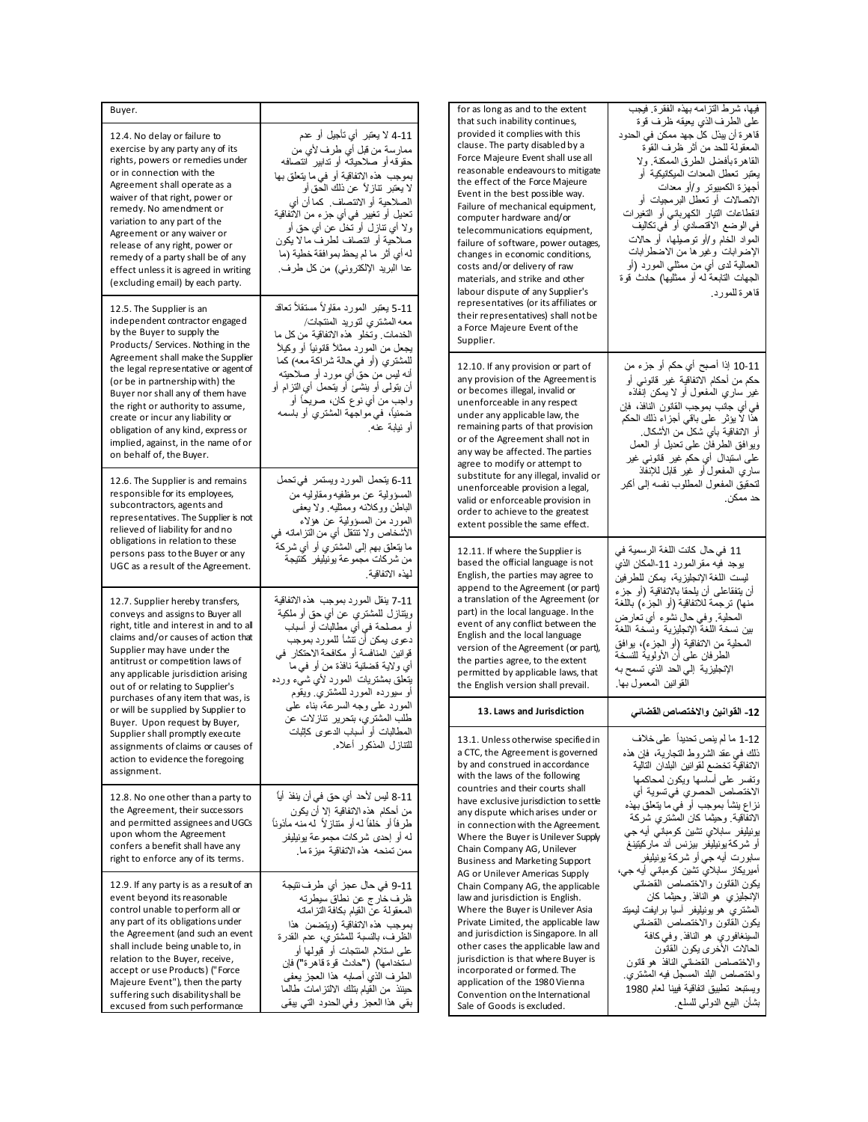| Buyer.                                                                                                                                                                                                                                                                                                                                                                                                                                                                       |                                                                                                                                                                                                                                                                                                                                                                                                                                                           | for as long as and to the extent                                                                                                                                                                                                                                                                                                                                                                                                                                                                                                                                               | فيها، شرط التز امه بهذه الفقر ة. فيجب                                                                                                                                                                                                                                                                                                                                                                                                                                                                     |
|------------------------------------------------------------------------------------------------------------------------------------------------------------------------------------------------------------------------------------------------------------------------------------------------------------------------------------------------------------------------------------------------------------------------------------------------------------------------------|-----------------------------------------------------------------------------------------------------------------------------------------------------------------------------------------------------------------------------------------------------------------------------------------------------------------------------------------------------------------------------------------------------------------------------------------------------------|--------------------------------------------------------------------------------------------------------------------------------------------------------------------------------------------------------------------------------------------------------------------------------------------------------------------------------------------------------------------------------------------------------------------------------------------------------------------------------------------------------------------------------------------------------------------------------|-----------------------------------------------------------------------------------------------------------------------------------------------------------------------------------------------------------------------------------------------------------------------------------------------------------------------------------------------------------------------------------------------------------------------------------------------------------------------------------------------------------|
| 12.4. No delay or failure to<br>exercise by any party any of its<br>rights, powers or remedies under<br>or in connection with the<br>Agreement shall operate as a<br>waiver of that right, power or<br>remedy. No amendment or<br>variation to any part of the<br>Agreement or any waiver or<br>release of any right, power or<br>remedy of a party shall be of any<br>effect unless it is agreed in writing<br>(excluding email) by each party.<br>12.5. The Supplier is an | 4-11 لا يعتبر أي تأجيل أو عدم<br>ممارسة من قبل أي طرف لأي من<br>حقوقه أو صلاحياته أو تدابير انتصافه<br>بموجب هذه الاتفاقية أو في ما يتعلق بها<br>لا يعتبر نتازلاً عن ذلك الحق أو<br>الصلاحية أو الانتصاف. كما أن أي<br>تحديل أو تغيير في أي جزء من الآنفاقية<br>ولا أي نتازل أو نخل عن أي حق أو<br>صلاحية أو انتصاف لطرف مالا يكون<br>له أي أثر ما لم يحظ بموافقة خطية (ما<br>عدا البريد الإلكتروني) من كل طرف.<br>5-11 يعتبر المورد مقاولاً مستقلأ نعاقد | that such inability continues,<br>provided it complies with this<br>clause. The party disabled by a<br>Force Majeure Event shall use all<br>reasonable endeavours to mitigate<br>the effect of the Force Majeure<br>Event in the best possible way.<br>Failure of mechanical equipment.<br>computer hardware and/or<br>telecommunications equipment,<br>failure of software, power outages,<br>changes in economic conditions,<br>costs and/or delivery of raw<br>materials, and strike and other<br>labour dispute of any Supplier's<br>representatives (or its affiliates or | على الطرف الذي يعيقه ظرف قوة<br>قاهرة أن بيذل كل جهد ممكن في الحدود<br>المعقولة للحد من أثر ظرف القوة<br>القاهرةبأفضل الطرق الممكنة ولا<br>يعتبر تعطل المعدات الميكانيكية أو<br>أجهزة الكمبيوتر و/أو معدات<br>الاتصالات أو تعطل البرمجيات أو<br>انقطاعات النيار الكهربائي أو التغيرات<br>في الوضع الاقتصادي أو ۖ في تكاليف<br>المواد الخام و/أو نوصيلها، أو حالات<br>الإضوابات وغيرها من الاضطرابات<br>العمالية لدى أي من ممثلي المورد (أو<br>الجهات التابعة ّله أو ممثليّها) حادثٌ قوة<br>قاهر ۃللمورد ِ |
| independent contractor engaged<br>by the Buyer to supply the<br>Products/ Services. Nothing in the<br>Agreement shall make the Supplier                                                                                                                                                                                                                                                                                                                                      | معه المشترى لتوريد المنتجات/<br>الخدمات وتُخلو هذه الاتفاقية من كل ما<br>يجعل من المورد ممثلاً قلنونياً أو وكيلاً                                                                                                                                                                                                                                                                                                                                         | their representatives) shall not be<br>a Force Majeure Event of the<br>Supplier.                                                                                                                                                                                                                                                                                                                                                                                                                                                                                               |                                                                                                                                                                                                                                                                                                                                                                                                                                                                                                           |
| the legal representative or agent of<br>(or be in partnership with) the<br>Buyer nor shall any of them have<br>the right or authority to assume,<br>create or incur any liability or<br>obligation of any kind, express or<br>implied, against, in the name of or<br>on behalf of, the Buyer.                                                                                                                                                                                | للمشتري (أو في حالة شراكة معه) كما<br>أنـه ليس من حق أي مورد أو صلاحيتـه<br>أن يتولَّى أو ينشئ أو يتحمل أي التزام أو<br>واجب من أي نوع كان، صويحاً أو<br>ضمنيًا، في مواجهة المشتري أو بلسمه<br>أو نيابة عنه.                                                                                                                                                                                                                                              | 12.10. If any provision or part of<br>any provision of the Agreement is<br>or becomes illegal, invalid or<br>unenforceable in any respect<br>under any applicable law, the<br>remaining parts of that provision<br>or of the Agreement shall not in<br>any way be affected. The parties<br>agree to modify or attempt to                                                                                                                                                                                                                                                       | 10-11 إذا أصبح أي حكم أو جزء من<br>حكم من أحكام الاتفاقية غير قانوني أو<br>غير ساري المفعول أو لا يمكن انفّاده<br>في أي جانب بموجب القانون النافذ، فإن<br>هذَا لاَ يؤثر على باقي أجزاء ذلك الحكم<br>أو الاتفاقية بأي شكل من الأشكال.<br>وبوافق الطرفان على نعديل أو العمل<br>على استبدال أي حكم غير قانوني غير<br>ساري المفعول أو غير قابل للإنفاذ                                                                                                                                                        |
| 12.6. The Supplier is and remains<br>responsible for its employees,<br>subcontractors, agents and<br>representatives. The Supplier is not<br>relieved of liability for and no<br>obligations in relation to these                                                                                                                                                                                                                                                            | 6-11 يتحمل المورد ويستمر في تحمل<br>المسؤولية عن موظفيه ومقاوليه من<br>الباطن ووكلائه وممثليه ولا يعفى<br>المورد من المسؤولية عن هؤلاء<br>الأشخاص ولا نتنقل أي من التزاملنه في                                                                                                                                                                                                                                                                            | substitute for any illegal, invalid or<br>unenforceable provision a legal,<br>valid or enforceable provision in<br>order to achieve to the greatest<br>extent possible the same effect.                                                                                                                                                                                                                                                                                                                                                                                        | لتحقيق المفعول المطلوب نفسه إلىي أكبر<br>حد ممکن                                                                                                                                                                                                                                                                                                                                                                                                                                                          |
| persons pass to the Buyer or any<br>UGC as a result of the Agreement.                                                                                                                                                                                                                                                                                                                                                                                                        | ما يتعلق بـهم إلـى المشتري أو أي شركـة<br>من شركات مجموعة يونيليفر كَنتيجة<br>لهذه الاتفاقية                                                                                                                                                                                                                                                                                                                                                              | 12.11. If where the Supplier is<br>based the official language is not<br>English, the parties may agree to<br>append to the Agreement (or part)                                                                                                                                                                                                                                                                                                                                                                                                                                | 11 في حال كانت اللغة الرسمية في<br>بوجد فيه مقرالمورد 11-المكان الذي<br>ليست اللغة الإنجليزية، يمكن للطر فين<br>أن يتفقاعلى أن يلحقا بالاتفاقية (أو جزء                                                                                                                                                                                                                                                                                                                                                   |
| 12.7. Supplier hereby transfers,<br>conveys and assigns to Buyer all<br>right, title and interest in and to all<br>claims and/or causes of action that<br>Supplier may have under the<br>antitrust or competition laws of<br>any applicable jurisdiction arising<br>out of or relating to Supplier's<br>purchases of any item that was, is                                                                                                                                   | 7-11 ينقل المورد بموجب هذه الاتفاقية<br>ويتنازل للمشترى عن أي حق أو ملكية<br>أو مصلحة في أي مطالبات أو أسباب<br>دعوى يمكن أن تتشأ للمورد بموجب<br>قو انبن المنافسة أو مكافحة الإحتكار في<br>أي ولاية قضلئية نافذة من أو فـي ما<br>بنعلق بمشتريات المورد لأى شيء ورده<br>أو سيورده المورد للمشترى. ويقوم                                                                                                                                                   | a translation of the Agreement (or<br>part) in the local language. In the<br>event of any conflict between the<br>English and the local language<br>version of the Agreement (or part),<br>the parties agree, to the extent<br>permitted by applicable laws, that<br>the English version shall prevail.                                                                                                                                                                                                                                                                        | منها) ترجمة للاتفاقية (أو الجزء) باللغة<br>المحلية. وفي حال نشوء أي تعارض<br>بين نسخة اللغة الإنجليزية ونسخة اللغة<br>المحلية من الاتفاقية (أو الجزء)، بوافق<br>الطرفان على أن الأولوية للنسخة<br>الإنجليزية إلى الحد الذي تسمح به<br>القوانين المعمول بها.                                                                                                                                                                                                                                               |
| or will be supplied by Supplier to<br>Buyer. Upon request by Buyer,<br>Supplier shall promptly execute                                                                                                                                                                                                                                                                                                                                                                       | المورد على وجه السرعة، بناء على<br>طلب المشترى، بتحرير لتازلات عن<br>المطالبات أو أسباب الدعوى كاثبات                                                                                                                                                                                                                                                                                                                                                     | 13. Laws and Jurisdiction<br>13.1. Unless otherwise specified in                                                                                                                                                                                                                                                                                                                                                                                                                                                                                                               | 12- القوانين والاختصاص القضائي<br>1-12 ما لم ينص تحديداً   على خلاف                                                                                                                                                                                                                                                                                                                                                                                                                                       |
| assignments of claims or causes of<br>action to evidence the foregoing<br>assignment.                                                                                                                                                                                                                                                                                                                                                                                        | للتنازل المذكور أعلاه.                                                                                                                                                                                                                                                                                                                                                                                                                                    | a CTC, the Agreement is governed<br>by and construed in accordance<br>with the laws of the following                                                                                                                                                                                                                                                                                                                                                                                                                                                                           | ذلك في عقد الشروط التجارية، فإن هذه<br>الاتفاقية تخضع لقوانين البلدان التآلية<br>ونفسر علىى أسلسها ويكون لمحاكمها                                                                                                                                                                                                                                                                                                                                                                                         |
| 12.8. No one other than a party to<br>the Agreement, their successors<br>and permitted assignees and UGCs<br>upon whom the Agreement<br>confers a benefit shall have any<br>right to enforce any of its terms.                                                                                                                                                                                                                                                               | 8-11 ليس لأحد أي حق في أن ينفذ أياً<br>من أحكام  هذه الاتفاقية  إلا أن يكون<br>طرفاً أو خلفاً لـه أو منتازلاً لـه منـه مـأذوناً<br>لـه أو اِحدى شركات مجموعة بونيليفر<br>ممن تمنحه هذه الاتفاقية ميز ةما.                                                                                                                                                                                                                                                 | countries and their courts shall<br>have exclusive jurisdiction to settle<br>any dispute which arises under or<br>in connection with the Agreement.<br>Where the Buyer is Unilever Supply<br>Chain Company AG, Unilever<br><b>Business and Marketing Support</b><br>AG or Unilever Americas Supply                                                                                                                                                                                                                                                                             | الاختصاص الحصري في تسوية أي<br>نزاع ينشأ بموجب أو في ما يتعلق بهذه<br>الاتفَّاقية. وحيثما كان المُشتري شركة<br>بونیلیفر سابلای تشین کومبانی أیه جی<br>أو شركةبيونيليفر بيزنس أند ماركيتينغ<br>سلبورت أيه جي أو شركة يونيليفر<br>أميريكاز سلبلاي تشين كومباني أيه جي،                                                                                                                                                                                                                                      |
| 12.9. If any party is as a result of an<br>event beyond its reasonable<br>control unable to perform all or<br>any part of its obligations under<br>the Agreement (and such an event<br>shall include being unable to, in<br>relation to the Buyer, receive,<br>accept or use Products) ("Force<br>Majeure Event"), then the party<br>suffering such disability shall be<br>excused from such performance                                                                     | 9-11 في حال عجز أي طرف نتيجة<br>ظرف خارج عن نطاق سيطرته<br>المعقولة عن القيام بكافة التز اماته<br>بموجب هذه الاتفاقية (ويتضمن هذا<br>الظرف، بالنسبة للمشتري، عدم القدرة<br>على استلام المنتجات أو قبولها أو<br>استخدامها) ("حادث قوة قاهرة") فإن<br>الطرف الذي أصلبه هذا العجز يعفى<br>حينئذ من القيام بتلك الالتزامات طالمًا<br>بقي هذا العجز وفي الحدود التي بيقى                                                                                       | Chain Company AG, the applicable<br>law and jurisdiction is English.<br>Where the Buyer is Unilever Asia<br>Private Limited, the applicable law<br>and jurisdiction is Singapore. In all<br>other cases the applicable law and<br>jurisdiction is that where Buyer is<br>incorporated or formed. The<br>application of the 1980 Vienna<br>Convention on the International<br>Sale of Goods is excluded.                                                                                                                                                                        | بكون القلنون والاختصاص القضلني<br>الإنجليزي  هو النافذ وحيثما كان<br>المشترى هو بونيليفر أسيا برايفت ليميتد<br>يكون القلنون والاختصاص القضلئي<br>السينغافوري هو النافذ وفي كافة<br>الحالات الأخرى يكون القلون<br>والاختصاص القضائى النافذ هو قانون<br>واختصاص البلد المسجل فيه المشتري.<br>ويستبعد نطبيق انفاقية فيينا لعام 1980<br>بشأن البيع الدولـي للسلـع.                                                                                                                                            |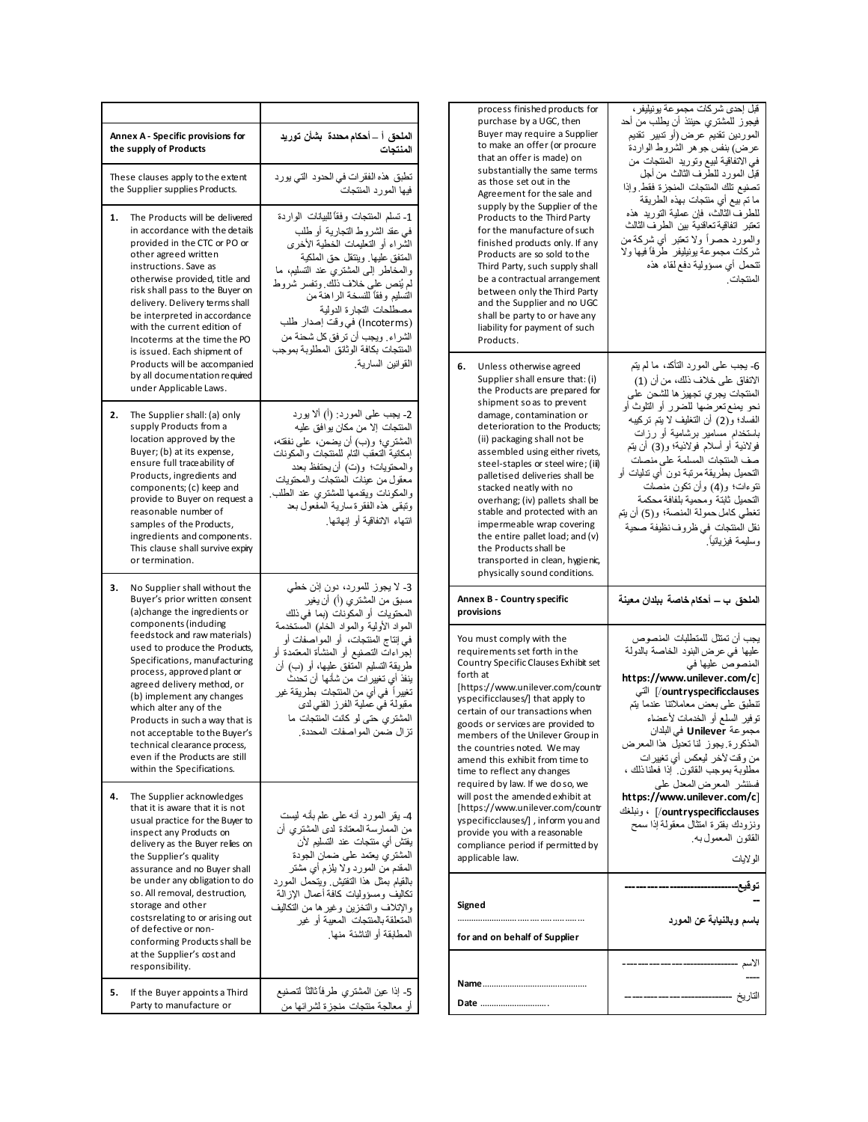|                                                                                                                                                                                                                                                                                                                                                                                             |                                                                                                                                                                                                                                                                                                                                                                                                              | process finished products for                                                                                                                                                                                                                                                                                                                                                                                                                                                             | قبل إحدى شركات مجموعة يونيليفر،                                                                                                                                                                                                                                                                                                                                                                          |
|---------------------------------------------------------------------------------------------------------------------------------------------------------------------------------------------------------------------------------------------------------------------------------------------------------------------------------------------------------------------------------------------|--------------------------------------------------------------------------------------------------------------------------------------------------------------------------------------------------------------------------------------------------------------------------------------------------------------------------------------------------------------------------------------------------------------|-------------------------------------------------------------------------------------------------------------------------------------------------------------------------------------------------------------------------------------------------------------------------------------------------------------------------------------------------------------------------------------------------------------------------------------------------------------------------------------------|----------------------------------------------------------------------------------------------------------------------------------------------------------------------------------------------------------------------------------------------------------------------------------------------------------------------------------------------------------------------------------------------------------|
| Annex A - Specific provisions for<br>the supply of Products                                                                                                                                                                                                                                                                                                                                 | الملحق أ _ أحكام محددة  بشأن توريد<br>المنتجات                                                                                                                                                                                                                                                                                                                                                               | purchase by a UGC, then<br>Buyer may require a Supplier<br>to make an offer (or procure<br>that an offer is made) on                                                                                                                                                                                                                                                                                                                                                                      | فيجوز للمشتري حينئذ أن يطلب من أحد<br>الموردين تقديم عرض(أو تدبير  تقديم<br>عرض) بنفس جو هر الشّروط الواردة<br>في الاتفاقية لبيع وتوريد المنتجات من                                                                                                                                                                                                                                                      |
| These clauses apply to the extent<br>the Supplier supplies Products.                                                                                                                                                                                                                                                                                                                        | تطبق هذه الفقرات في الحدود التي يورد<br>فيها المورد المنتجات                                                                                                                                                                                                                                                                                                                                                 | substantially the same terms<br>as those set out in the<br>Agreement for the sale and<br>supply by the Supplier of the                                                                                                                                                                                                                                                                                                                                                                    | قبلَ المورد للطَّرف الثالث من أجل<br>تصنيع تلك المنتجات المنجزة فقط وإذا<br>ما تم بيع أي منتجات بهذه الطريقة                                                                                                                                                                                                                                                                                             |
| The Products will be delivered<br>1.<br>in accordance with the details<br>provided in the CTC or PO or<br>other agreed written<br>instructions. Save as<br>otherwise provided, title and<br>risk shall pass to the Buyer on<br>delivery. Delivery terms shall<br>be interpreted in accordance<br>with the current edition of<br>Incoterms at the time the PO<br>is issued. Each shipment of | 1- تسلَّم المنتجات وفقاً للبيانات الواردة<br>في عقد الشر وط التجار بـه أو طلب<br>الشَّراء أو التعليمات الخطية الأخرى<br>المتفق عليها, وبنتقل حق الملكبة<br>والمخاطر إلى المشتري عند التسليم، ما<br>لم يُنص على خلاف ذلك. وتفسر شروط<br>التسليم وفقأ للنسخة الراهنةمن<br>مصطلحات التجار ة الدولية<br>(Incoterms) في وقت إصدار طلب<br>الشراء. ويجب أن ترفق كل شحنة من<br>المنتجات بكافة الوثائق المطلوبة بموجب | Products to the Third Party<br>for the manufacture of such<br>finished products only. If any<br>Products are so sold to the<br>Third Party, such supply shall<br>be a contractual arrangement<br>between only the Third Party<br>and the Supplier and no UGC<br>shall be party to or have any<br>liability for payment of such<br>Products.                                                                                                                                               | للطرف الثالث، فإن عملية التوريد هذه<br>تعتبر اتفاقية تعاقدية بين الطرف الثالث<br>والمورد حصوأ ولا نعتبر أى شركة من<br>شركات مجموعة بونيليفر طَّرفاً فيها ولا<br>نتحمل أي مسؤولية دفع لقاء هذه<br>المنتجات.                                                                                                                                                                                               |
| Products will be accompanied<br>by all documentation required<br>under Applicable Laws.                                                                                                                                                                                                                                                                                                     | القو انين السارية.                                                                                                                                                                                                                                                                                                                                                                                           | 6.<br>Unless otherwise agreed<br>Supplier shall ensure that: (i)<br>the Products are prepared for                                                                                                                                                                                                                                                                                                                                                                                         | 6- يجب على المورد التأكد، ما لم يتم<br>الاتفاق على خلاف ذلك، من أن (1)<br>المنتجات يجرى تجهيز ها للشحن على                                                                                                                                                                                                                                                                                               |
| 2.<br>The Supplier shall: (a) only<br>supply Products from a<br>location approved by the<br>Buyer; (b) at its expense,<br>ensure full traceability of<br>Products, ingredients and<br>components; (c) keep and<br>provide to Buyer on request a<br>reasonable number of<br>samples of the Products,<br>ingredients and components.<br>This clause shall survive expiry<br>or termination.   | 2- يجب على المورد: (أ) ألا يورد<br>المنتجات إلا من مكان يو افق عليه<br>المشتري؛ و(ب) أن يضمن، على نفقته،<br>إمكانية التعقب التام للمنتجات والمكونات<br>والمحتويات؛ و(ت) أن يحتفظ بعدد<br>معقول من عينات المنتجات والمحتويات<br>والمكونات ويقدمها للمشترى عند الطلب.<br>وتبقى هذه الفقر ةسارية المفعول بعد<br>انتهاء الاتفاقية أو إنهائها.                                                                    | shipment so as to prevent<br>damage, contamination or<br>deterioration to the Products;<br>(ii) packaging shall not be<br>assembled using either rivets,<br>steel-staples or steel wire; (iii)<br>palletised deliveries shall be<br>stacked neatly with no<br>overhang; (iv) pallets shall be<br>stable and protected with an<br>impermeable wrap covering<br>the entire pallet load; and (v)<br>the Products shall be<br>transported in clean, hygienic,<br>physically sound conditions. | نحو يمنع تعرضها للضور أو التلوث أو<br>الفساد؛ و(2) أن التغليف لا يتم تركيبه<br>باستخدام مسامیر برشامیة أو رزات<br>فولانية أو أسلام فولانية؛ و(3) أن يتم<br>صف المنتجات المسلمة على منصات<br>التحميل بطريقة مرتبة دون أي تدليات أو<br>نتوءات؛ و(4) وأن تكون منصات<br>التحميل ثابتة ومحمية بلفافة محكمة<br>تغطي كامل حمولة المنصة؛ و(5) أن يتم<br>نقل المنتجات في ظروف نظيفة صحية<br>وسليمة فيزيائياً.     |
| 3.<br>No Supplier shall without the<br>Buyer's prior written consent<br>(a) change the ingredients or<br>components (induding                                                                                                                                                                                                                                                               | 3- لا يجوز للمورد، دون إذن خطي<br>مسبق من المشترى (أ) أن يغير<br>المحتويات أو المكونات (بما في ذلك                                                                                                                                                                                                                                                                                                           | Annex B - Country specific<br>provisions                                                                                                                                                                                                                                                                                                                                                                                                                                                  | الملحق ب – أحكام خاصة ببلدان معينة                                                                                                                                                                                                                                                                                                                                                                       |
| feedstock and raw materials)<br>used to produce the Products.<br>Specifications, manufacturing<br>process, approved plant or<br>agreed delivery method, or<br>(b) implement any changes<br>which alter any of the<br>Products in such a way that is<br>not acceptable to the Buyer's<br>technical clearance process,<br>even if the Products are still<br>within the Specifications.        | المواد الأولية والمواد الخام) المستخدمة<br>في إنتاج المنتجات، أو المواصفات أو<br>إجَّراءاتٌ التَّصنيع أو المنشأة المعتمدة أو<br>طريقة التسليم المتفق عليها، أو (ب) أن<br>ينفذ أي تغييرات من شأنها أن تحدث<br>تغيير أ في أي من المنتجات بطريقة غير<br>مقبولة في عملية الفرز الفني لدى<br>المشتري حتى لو كانت المنتجات ما<br>تزال ضمن المواصفات المحددة.                                                       | You must comply with the<br>requirements set forth in the<br>Country Specific Clauses Exhibit set<br>forth at<br>[https://www.unilever.com/countr<br>yspecificclauses/] that apply to<br>certain of our transactions when<br>goods or services are provided to<br>members of the Unilever Group in<br>the countries noted. We may<br>amend this exhibit from time to<br>time to reflect any changes<br>required by law. If we do so, we                                                   | يجب أن تمتثل للمتطلبات المنصوص<br>عليها في عرض البنود الخاصة بالدولة<br>المنصوص عليها في<br>https://www.unilever.com/c]<br>ountryspecificclauses/ التى<br>تنطبق على بعض معاملاتنا عندما يتم<br>نوفير السلع أو الخدمات لأعضاء<br>مجموعة Unilever في البلدان<br>المذكورة يجوز لنا تعديل هذا المعرض<br>من و قت لأخر اليعكس أي تغيير ات<br>مطلوبة بموجب القلنون. إذا فعلنا ذلك ،<br>فسننشر المعرض المعدل على |
| The Supplier acknowledges<br>4.<br>that it is aware that it is not<br>usual practice for the Buyer to<br>inspect any Products on<br>delivery as the Buyer relies on<br>the Supplier's quality<br>assurance and no Buyer shall<br>be under any obligation to do                                                                                                                              | 4- يقر المورد أنه على علم بأنه ليست<br>من الممارسة المعتادة لدى المشترى أن<br>يفتش أي منتجات عند التسليم لأن<br>المشترى يعتمد على ضمان الجودة<br>المقدم مُن المورد ولا يلزم أي مشتر<br>بالقيام بمثل هذا التفتيش وبتحمل المورد                                                                                                                                                                                | will post the amended exhibit at<br>[https://www.unilever.com/countr<br>yspecificclauses/], inform you and<br>provide you with a reasonable<br>compliance period if permitted by<br>applicable law.                                                                                                                                                                                                                                                                                       | https://www.unilever.com/c]<br>ountryspecificclauses/] ، ونبلغك<br>ونزودك بفترة امتثال معقولة إذا سمح<br>القانون المعمول به.<br>الولايات<br>توفيع                                                                                                                                                                                                                                                        |
| so. All removal, destruction,<br>storage and other<br>costsrelating to or arising out<br>of defective or non-<br>conforming Products shall be<br>at the Supplier's cost and                                                                                                                                                                                                                 | نكاليف ومسؤوليات كافة أعمال الإزالة<br>والإنلاف والنخزبين وغير ها من النكاليف<br>المتعلقة بالمنتجات المعيبة أو غير<br>المطلبقة أو الناشئة منها.                                                                                                                                                                                                                                                              | Signed<br>for and on behalf of Supplier                                                                                                                                                                                                                                                                                                                                                                                                                                                   | باسم وبالنيابة عن المورد<br>الأسم                                                                                                                                                                                                                                                                                                                                                                        |
| responsibility.<br>5.<br>If the Buyer appoints a Third<br>Party to manufacture or                                                                                                                                                                                                                                                                                                           | 5- إذا عين المشتري طرفاً ثالثاً لتصنيع<br>أو معالجة منتجات منجزة لشرائها من                                                                                                                                                                                                                                                                                                                                  | Date                                                                                                                                                                                                                                                                                                                                                                                                                                                                                      | التاريخ<br>-- --- ---- --- --- --- --------                                                                                                                                                                                                                                                                                                                                                              |